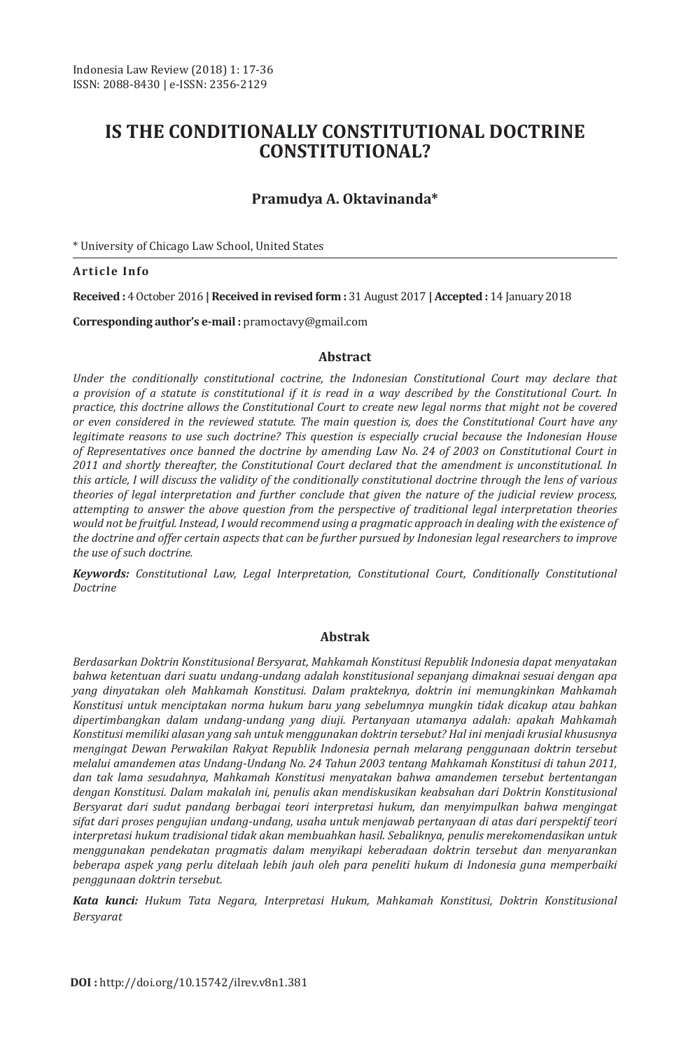# **IS THE CONDITIONALLY CONSTITUTIONAL DOCTRINE CONSTITUTIONAL?**

## **Pramudya A. Oktavinanda\***

\* University of Chicago Law School, United States

#### **Article Info**

**Received :** 4 October 2016 **| Received in revised form :** 31 August 2017 **| Accepted :** 14 January 2018

**Corresponding author's e-mail :** pramoctavy@gmail.com

#### **Abstract**

*Under the conditionally constitutional coctrine, the Indonesian Constitutional Court may declare that a provision of a statute is constitutional if it is read in a way described by the Constitutional Court. In practice, this doctrine allows the Constitutional Court to create new legal norms that might not be covered or even considered in the reviewed statute. The main question is, does the Constitutional Court have any legitimate reasons to use such doctrine? This question is especially crucial because the Indonesian House of Representatives once banned the doctrine by amending Law No. 24 of 2003 on Constitutional Court in 2011 and shortly thereafter, the Constitutional Court declared that the amendment is unconstitutional. In this article, I will discuss the validity of the conditionally constitutional doctrine through the lens of various theories of legal interpretation and further conclude that given the nature of the judicial review process, attempting to answer the above question from the perspective of traditional legal interpretation theories would not be fruitful. Instead, I would recommend using a pragmatic approach in dealing with the existence of the doctrine and offer certain aspects that can be further pursued by Indonesian legal researchers to improve the use of such doctrine.* 

*Keywords: Constitutional Law, Legal Interpretation, Constitutional Court, Conditionally Constitutional Doctrine*

#### **Abstrak**

*Berdasarkan Doktrin Konstitusional Bersyarat, Mahkamah Konstitusi Republik Indonesia dapat menyatakan bahwa ketentuan dari suatu undang-undang adalah konstitusional sepanjang dimaknai sesuai dengan apa yang dinyatakan oleh Mahkamah Konstitusi. Dalam prakteknya, doktrin ini memungkinkan Mahkamah Konstitusi untuk menciptakan norma hukum baru yang sebelumnya mungkin tidak dicakup atau bahkan dipertimbangkan dalam undang-undang yang diuji. Pertanyaan utamanya adalah: apakah Mahkamah Konstitusi memiliki alasan yang sah untuk menggunakan doktrin tersebut? Hal ini menjadi krusial khususnya mengingat Dewan Perwakilan Rakyat Republik Indonesia pernah melarang penggunaan doktrin tersebut melalui amandemen atas Undang-Undang No. 24 Tahun 2003 tentang Mahkamah Konstitusi di tahun 2011, dan tak lama sesudahnya, Mahkamah Konstitusi menyatakan bahwa amandemen tersebut bertentangan dengan Konstitusi. Dalam makalah ini, penulis akan mendiskusikan keabsahan dari Doktrin Konstitusional Bersyarat dari sudut pandang berbagai teori interpretasi hukum, dan menyimpulkan bahwa mengingat sifat dari proses pengujian undang-undang, usaha untuk menjawab pertanyaan di atas dari perspektif teori interpretasi hukum tradisional tidak akan membuahkan hasil. Sebaliknya, penulis merekomendasikan untuk menggunakan pendekatan pragmatis dalam menyikapi keberadaan doktrin tersebut dan menyarankan beberapa aspek yang perlu ditelaah lebih jauh oleh para peneliti hukum di Indonesia guna memperbaiki penggunaan doktrin tersebut.*

*Kata kunci: Hukum Tata Negara, Interpretasi Hukum, Mahkamah Konstitusi, Doktrin Konstitusional Bersyarat*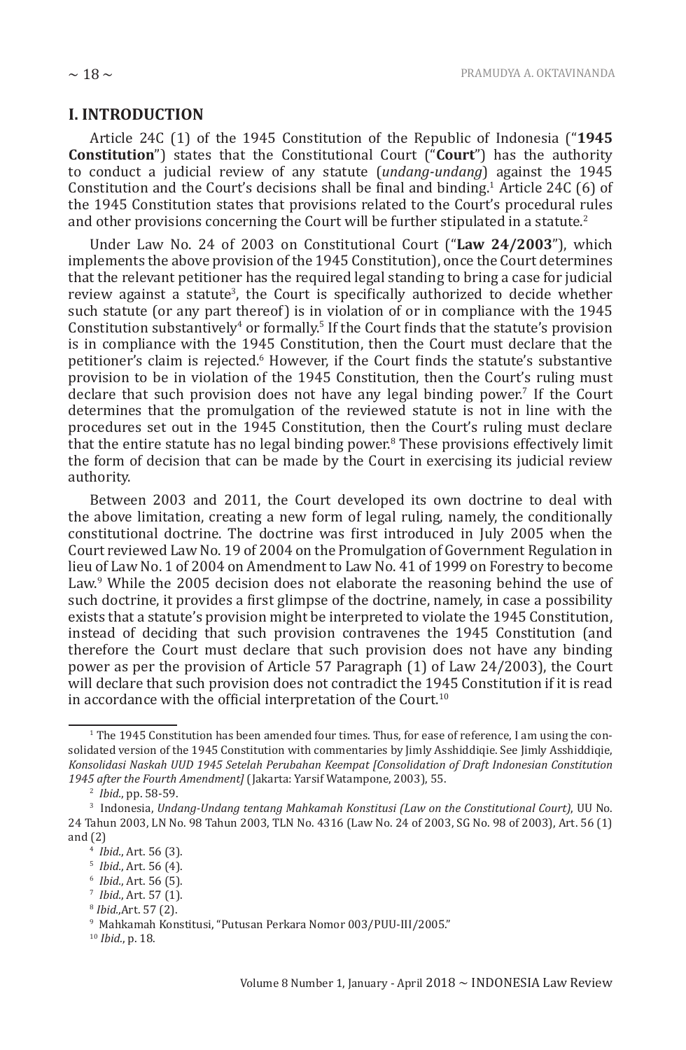#### **I. INTRODUCTION**

Article 24C (1) of the 1945 Constitution of the Republic of Indonesia ("**1945 Constitution**") states that the Constitutional Court ("**Court**") has the authority to conduct a judicial review of any statute (*undang-undang*) against the 1945 Constitution and the Court's decisions shall be final and binding.<sup>1</sup> Article 24C (6) of the 1945 Constitution states that provisions related to the Court's procedural rules and other provisions concerning the Court will be further stipulated in a statute.<sup>2</sup>

Under Law No. 24 of 2003 on Constitutional Court ("**Law 24/2003**"), which implements the above provision of the 1945 Constitution), once the Court determines that the relevant petitioner has the required legal standing to bring a case for judicial review against a statute<sup>3</sup>, the Court is specifically authorized to decide whether such statute (or any part thereof) is in violation of or in compliance with the 1945 Constitution substantively<sup>4</sup> or formally.<sup>5</sup> If the Court finds that the statute's provision is in compliance with the 1945 Constitution, then the Court must declare that the petitioner's claim is rejected.<sup>6</sup> However, if the Court finds the statute's substantive provision to be in violation of the 1945 Constitution, then the Court's ruling must declare that such provision does not have any legal binding power.<sup>7</sup> If the Court determines that the promulgation of the reviewed statute is not in line with the procedures set out in the 1945 Constitution, then the Court's ruling must declare that the entire statute has no legal binding power.<sup>8</sup> These provisions effectively limit the form of decision that can be made by the Court in exercising its judicial review authority.

Between 2003 and 2011, the Court developed its own doctrine to deal with the above limitation, creating a new form of legal ruling, namely, the conditionally constitutional doctrine. The doctrine was first introduced in July 2005 when the Court reviewed Law No. 19 of 2004 on the Promulgation of Government Regulation in lieu of Law No. 1 of 2004 on Amendment to Law No. 41 of 1999 on Forestry to become Law.<sup>9</sup> While the 2005 decision does not elaborate the reasoning behind the use of such doctrine, it provides a first glimpse of the doctrine, namely, in case a possibility exists that a statute's provision might be interpreted to violate the 1945 Constitution, instead of deciding that such provision contravenes the 1945 Constitution (and therefore the Court must declare that such provision does not have any binding power as per the provision of Article 57 Paragraph (1) of Law 24/2003), the Court will declare that such provision does not contradict the 1945 Constitution if it is read in accordance with the official interpretation of the Court. $10$ 

<sup>1</sup> The 1945 Constitution has been amended four times. Thus, for ease of reference, I am using the consolidated version of the 1945 Constitution with commentaries by Jimly Asshiddiqie. See Jimly Asshiddiqie, *Konsolidasi Naskah UUD 1945 Setelah Perubahan Keempat [Consolidation of Draft Indonesian Constitution 1945 after the Fourth Amendment]* (Jakarta: Yarsif Watampone, 2003), 55.

<sup>2</sup> *Ibid.*, pp. 58-59.

<sup>3</sup> Indonesia, *Undang-Undang tentang Mahkamah Konstitusi (Law on the Constitutional Court)*, UU No. 24 Tahun 2003, LN No. 98 Tahun 2003, TLN No. 4316 (Law No. 24 of 2003, SG No. 98 of 2003), Art. 56 (1) and (2)

<sup>4</sup> *Ibid.*, Art. 56 (3).

<sup>5</sup> *Ibid.*, Art. 56 (4).

<sup>6</sup> *Ibid.*, Art. 56 (5).

<sup>7</sup> *Ibid.*, Art. 57 (1).

<sup>8</sup> *Ibid.*,Art. 57 (2).

<sup>9</sup> Mahkamah Konstitusi, "Putusan Perkara Nomor 003/PUU-III/2005."

<sup>10</sup> *Ibid.*, p. 18.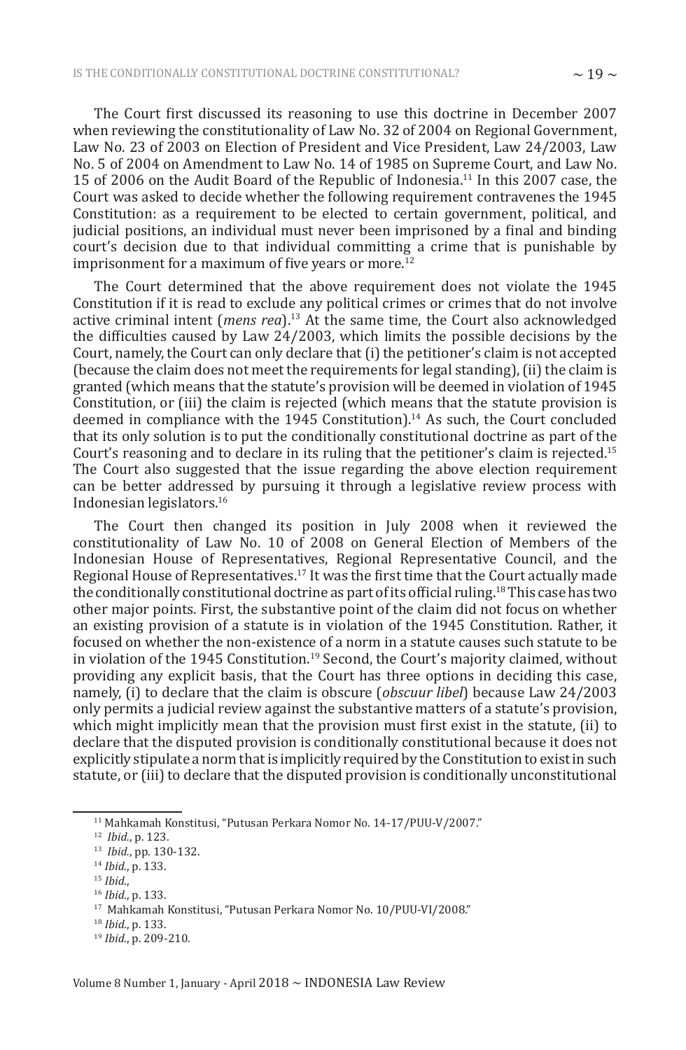The Court first discussed its reasoning to use this doctrine in December 2007 when reviewing the constitutionality of Law No. 32 of 2004 on Regional Government, Law No. 23 of 2003 on Election of President and Vice President, Law 24/2003, Law No. 5 of 2004 on Amendment to Law No. 14 of 1985 on Supreme Court, and Law No. 15 of 2006 on the Audit Board of the Republic of Indonesia.<sup>11</sup> In this 2007 case, the Court was asked to decide whether the following requirement contravenes the 1945 Constitution: as a requirement to be elected to certain government, political, and judicial positions, an individual must never been imprisoned by a final and binding court's decision due to that individual committing a crime that is punishable by imprisonment for a maximum of five years or more.<sup>12</sup>

The Court determined that the above requirement does not violate the 1945 Constitution if it is read to exclude any political crimes or crimes that do not involve active criminal intent (*mens rea*).<sup>13</sup> At the same time, the Court also acknowledged the difficulties caused by Law 24/2003, which limits the possible decisions by the Court, namely, the Court can only declare that (i) the petitioner's claim is not accepted (because the claim does not meet the requirements for legal standing), (ii) the claim is granted (which means that the statute's provision will be deemed in violation of 1945 Constitution, or (iii) the claim is rejected (which means that the statute provision is deemed in compliance with the 1945 Constitution).<sup>14</sup> As such, the Court concluded that its only solution is to put the conditionally constitutional doctrine as part of the Court's reasoning and to declare in its ruling that the petitioner's claim is rejected.<sup>15</sup> The Court also suggested that the issue regarding the above election requirement can be better addressed by pursuing it through a legislative review process with Indonesian legislators.<sup>16</sup>

The Court then changed its position in July 2008 when it reviewed the constitutionality of Law No. 10 of 2008 on General Election of Members of the Indonesian House of Representatives, Regional Representative Council, and the Regional House of Representatives.<sup>17</sup> It was the first time that the Court actually made the conditionally constitutional doctrine as part of its official ruling.<sup>18</sup> This case has two other major points. First, the substantive point of the claim did not focus on whether an existing provision of a statute is in violation of the 1945 Constitution. Rather, it focused on whether the non-existence of a norm in a statute causes such statute to be in violation of the 1945 Constitution.<sup>19</sup> Second, the Court's majority claimed, without providing any explicit basis, that the Court has three options in deciding this case, namely, (i) to declare that the claim is obscure (*obscuur libel*) because Law 24/2003 only permits a judicial review against the substantive matters of a statute's provision, which might implicitly mean that the provision must first exist in the statute, (ii) to declare that the disputed provision is conditionally constitutional because it does not explicitly stipulate a norm that is implicitly required by the Constitution to exist in such statute, or (iii) to declare that the disputed provision is conditionally unconstitutional

<sup>11</sup> Mahkamah Konstitusi, "Putusan Perkara Nomor No. 14-17/PUU-V/2007."

<sup>12</sup> *Ibid.*, p. 123.

<sup>13</sup> *Ibid.*, pp. 130-132.

<sup>14</sup> *Ibid.*, p. 133.

<sup>15</sup> *Ibid.*,

<sup>16</sup> *Ibid.*, p. 133.

<sup>17</sup> Mahkamah Konstitusi, "Putusan Perkara Nomor No. 10/PUU-VI/2008."

<sup>18</sup> *Ibid.*, p. 133.

<sup>19</sup> *Ibid.*, p. 209-210.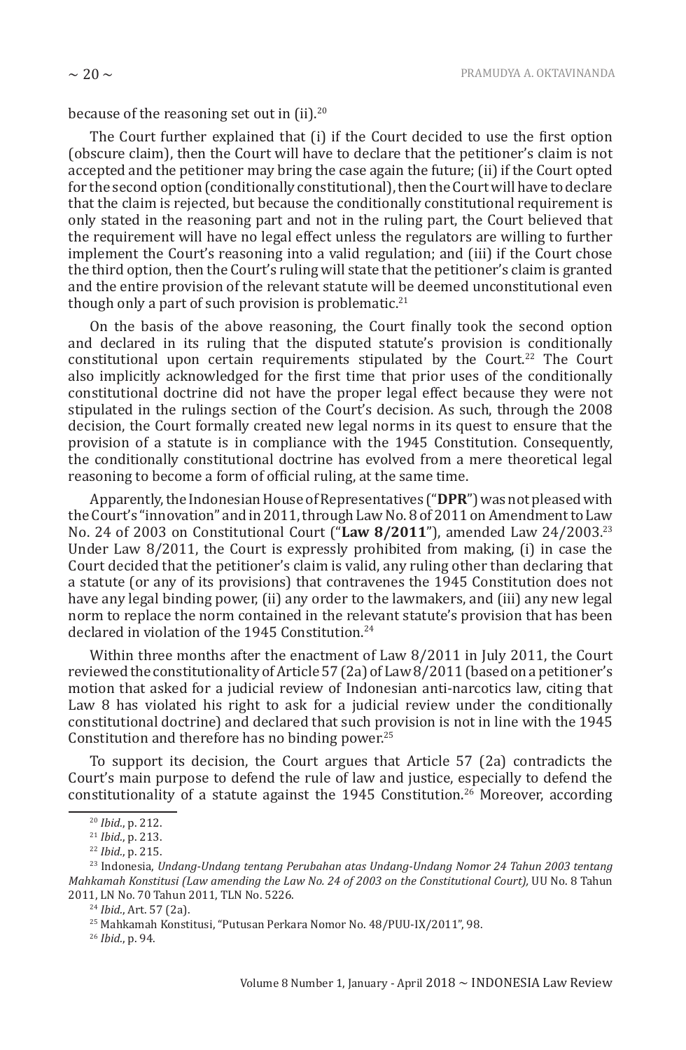because of the reasoning set out in  $(ii).^{20}$ 

The Court further explained that (i) if the Court decided to use the first option (obscure claim), then the Court will have to declare that the petitioner's claim is not accepted and the petitioner may bring the case again the future; (ii) if the Court opted for the second option (conditionally constitutional), then the Court will have to declare that the claim is rejected, but because the conditionally constitutional requirement is only stated in the reasoning part and not in the ruling part, the Court believed that the requirement will have no legal effect unless the regulators are willing to further implement the Court's reasoning into a valid regulation; and (iii) if the Court chose the third option, then the Court's ruling will state that the petitioner's claim is granted and the entire provision of the relevant statute will be deemed unconstitutional even though only a part of such provision is problematic.<sup>21</sup>

On the basis of the above reasoning, the Court finally took the second option and declared in its ruling that the disputed statute's provision is conditionally constitutional upon certain requirements stipulated by the Court.<sup>22</sup> The Court also implicitly acknowledged for the first time that prior uses of the conditionally constitutional doctrine did not have the proper legal effect because they were not stipulated in the rulings section of the Court's decision. As such, through the 2008 decision, the Court formally created new legal norms in its quest to ensure that the provision of a statute is in compliance with the 1945 Constitution. Consequently, the conditionally constitutional doctrine has evolved from a mere theoretical legal reasoning to become a form of official ruling, at the same time.

Apparently, the Indonesian House of Representatives ("**DPR**") was not pleased with the Court's "innovation" and in 2011, through Law No. 8 of 2011 on Amendment to Law No. 24 of 2003 on Constitutional Court ("**Law 8/2011**"), amended Law 24/2003.<sup>23</sup> Under Law 8/2011, the Court is expressly prohibited from making, (i) in case the Court decided that the petitioner's claim is valid, any ruling other than declaring that a statute (or any of its provisions) that contravenes the 1945 Constitution does not have any legal binding power, (ii) any order to the lawmakers, and (iii) any new legal norm to replace the norm contained in the relevant statute's provision that has been declared in violation of the 1945 Constitution.<sup>24</sup>

Within three months after the enactment of Law 8/2011 in July 2011, the Court reviewed the constitutionality of Article 57 (2a) of Law 8/2011 (based on a petitioner's motion that asked for a judicial review of Indonesian anti-narcotics law, citing that Law 8 has violated his right to ask for a judicial review under the conditionally constitutional doctrine) and declared that such provision is not in line with the 1945 Constitution and therefore has no binding power.<sup>25</sup>

To support its decision, the Court argues that Article 57 (2a) contradicts the Court's main purpose to defend the rule of law and justice, especially to defend the constitutionality of a statute against the  $1945$  Constitution.<sup>26</sup> Moreover, according

<sup>20</sup> *Ibid.*, p. 212.

<sup>21</sup> *Ibid.*, p. 213.

<sup>22</sup> *Ibid.*, p. 215.

<sup>23</sup> Indonesia, *Undang-Undang tentang Perubahan atas Undang-Undang Nomor 24 Tahun 2003 tentang Mahkamah Konstitusi (Law amending the Law No. 24 of 2003 on the Constitutional Court),* UU No. 8 Tahun 2011, LN No. 70 Tahun 2011, TLN No. 5226.

<sup>24</sup> *Ibid.*, Art. 57 (2a).

<sup>25</sup> Mahkamah Konstitusi, "Putusan Perkara Nomor No. 48/PUU-IX/2011", 98.

<sup>26</sup> *Ibid.*, p. 94.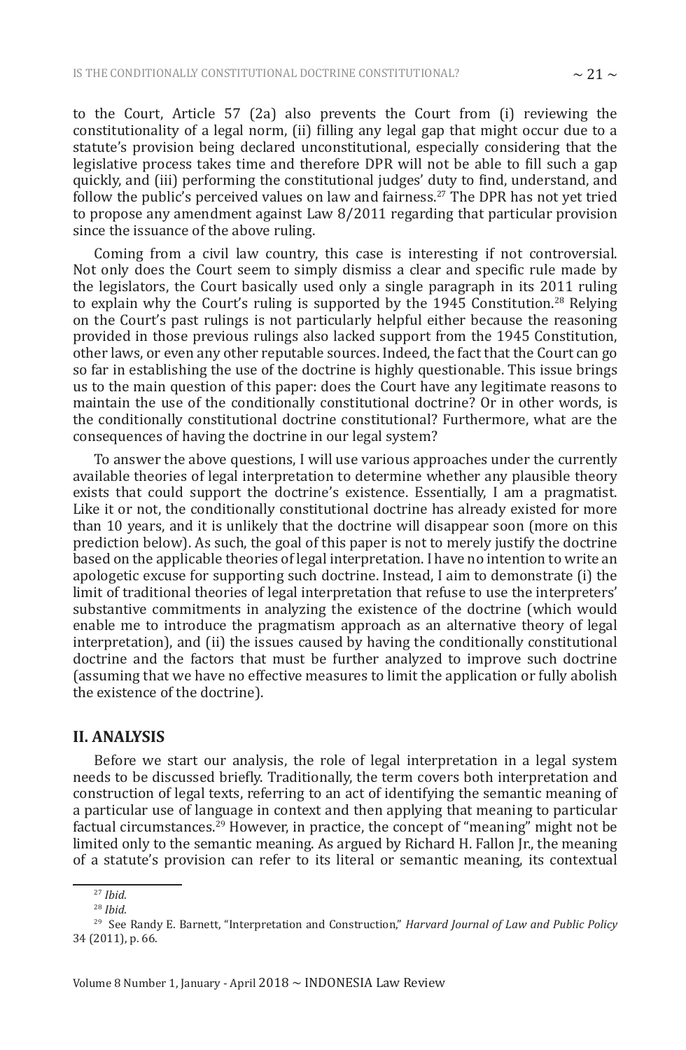to the Court, Article 57 (2a) also prevents the Court from (i) reviewing the constitutionality of a legal norm, (ii) filling any legal gap that might occur due to a statute's provision being declared unconstitutional, especially considering that the legislative process takes time and therefore DPR will not be able to fill such a gap quickly, and (iii) performing the constitutional judges' duty to find, understand, and follow the public's perceived values on law and fairness.<sup>27</sup> The DPR has not yet tried to propose any amendment against Law 8/2011 regarding that particular provision since the issuance of the above ruling.

Coming from a civil law country, this case is interesting if not controversial. Not only does the Court seem to simply dismiss a clear and specific rule made by the legislators, the Court basically used only a single paragraph in its 2011 ruling to explain why the Court's ruling is supported by the 1945 Constitution.<sup>28</sup> Relying on the Court's past rulings is not particularly helpful either because the reasoning provided in those previous rulings also lacked support from the 1945 Constitution, other laws, or even any other reputable sources. Indeed, the fact that the Court can go so far in establishing the use of the doctrine is highly questionable. This issue brings us to the main question of this paper: does the Court have any legitimate reasons to maintain the use of the conditionally constitutional doctrine? Or in other words, is the conditionally constitutional doctrine constitutional? Furthermore, what are the consequences of having the doctrine in our legal system?

To answer the above questions, I will use various approaches under the currently available theories of legal interpretation to determine whether any plausible theory exists that could support the doctrine's existence. Essentially, I am a pragmatist. Like it or not, the conditionally constitutional doctrine has already existed for more than 10 years, and it is unlikely that the doctrine will disappear soon (more on this prediction below). As such, the goal of this paper is not to merely justify the doctrine based on the applicable theories of legal interpretation. I have no intention to write an apologetic excuse for supporting such doctrine. Instead, I aim to demonstrate (i) the limit of traditional theories of legal interpretation that refuse to use the interpreters' substantive commitments in analyzing the existence of the doctrine (which would enable me to introduce the pragmatism approach as an alternative theory of legal interpretation), and (ii) the issues caused by having the conditionally constitutional doctrine and the factors that must be further analyzed to improve such doctrine (assuming that we have no effective measures to limit the application or fully abolish the existence of the doctrine).

#### **II. ANALYSIS**

Before we start our analysis, the role of legal interpretation in a legal system needs to be discussed briefly. Traditionally, the term covers both interpretation and construction of legal texts, referring to an act of identifying the semantic meaning of a particular use of language in context and then applying that meaning to particular factual circumstances.<sup>29</sup> However, in practice, the concept of "meaning" might not be limited only to the semantic meaning. As argued by Richard H. Fallon Jr., the meaning of a statute's provision can refer to its literal or semantic meaning, its contextual

<sup>27</sup> *Ibid.*

<sup>28</sup> *Ibid.*

<sup>29</sup> See Randy E. Barnett, "Interpretation and Construction," *Harvard Journal of Law and Public Policy* 34 (2011), p. 66.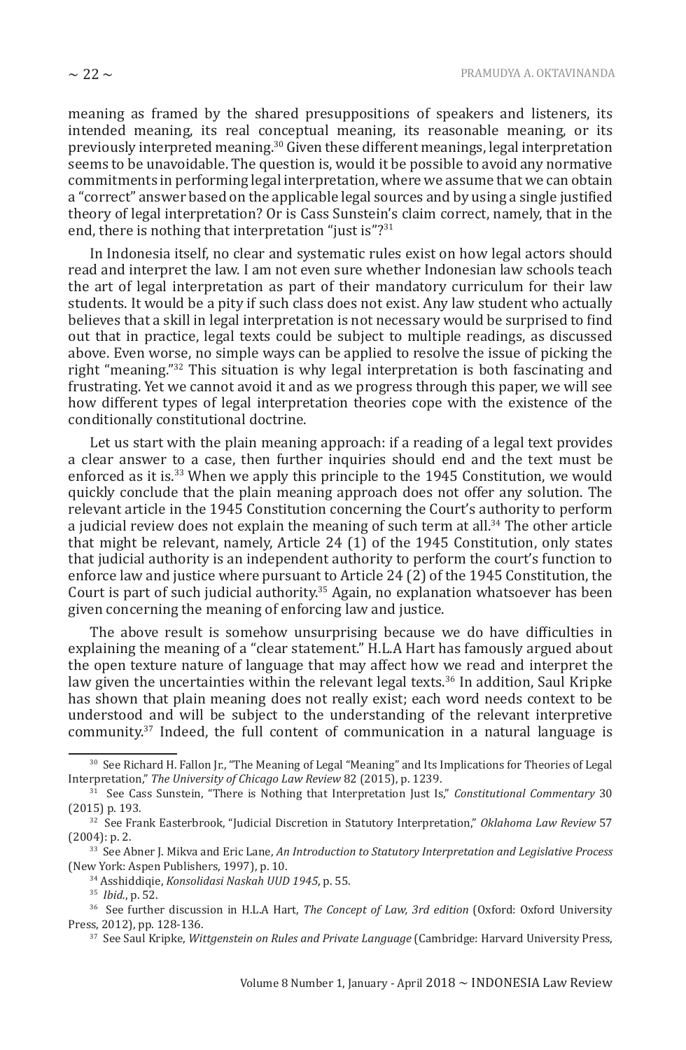meaning as framed by the shared presuppositions of speakers and listeners, its intended meaning, its real conceptual meaning, its reasonable meaning, or its previously interpreted meaning.<sup>30</sup> Given these different meanings, legal interpretation seems to be unavoidable. The question is, would it be possible to avoid any normative commitments in performing legal interpretation, where we assume that we can obtain a "correct" answer based on the applicable legal sources and by using a single justified theory of legal interpretation? Or is Cass Sunstein's claim correct, namely, that in the end, there is nothing that interpretation "just is"?<sup>31</sup>

In Indonesia itself, no clear and systematic rules exist on how legal actors should read and interpret the law. I am not even sure whether Indonesian law schools teach the art of legal interpretation as part of their mandatory curriculum for their law students. It would be a pity if such class does not exist. Any law student who actually believes that a skill in legal interpretation is not necessary would be surprised to find out that in practice, legal texts could be subject to multiple readings, as discussed above. Even worse, no simple ways can be applied to resolve the issue of picking the right "meaning."<sup>32</sup> This situation is why legal interpretation is both fascinating and frustrating. Yet we cannot avoid it and as we progress through this paper, we will see how different types of legal interpretation theories cope with the existence of the conditionally constitutional doctrine.

Let us start with the plain meaning approach: if a reading of a legal text provides a clear answer to a case, then further inquiries should end and the text must be enforced as it is.<sup>33</sup> When we apply this principle to the 1945 Constitution, we would quickly conclude that the plain meaning approach does not offer any solution. The relevant article in the 1945 Constitution concerning the Court's authority to perform a judicial review does not explain the meaning of such term at all.<sup>34</sup> The other article that might be relevant, namely, Article 24 (1) of the 1945 Constitution, only states that judicial authority is an independent authority to perform the court's function to enforce law and justice where pursuant to Article 24 (2) of the 1945 Constitution, the Court is part of such judicial authority.<sup>35</sup> Again, no explanation whatsoever has been given concerning the meaning of enforcing law and justice.

The above result is somehow unsurprising because we do have difficulties in explaining the meaning of a "clear statement." H.L.A Hart has famously argued about the open texture nature of language that may affect how we read and interpret the law given the uncertainties within the relevant legal texts.<sup>36</sup> In addition, Saul Kripke has shown that plain meaning does not really exist; each word needs context to be understood and will be subject to the understanding of the relevant interpretive community.<sup>37</sup> Indeed, the full content of communication in a natural language is

<sup>30</sup> See Richard H. Fallon Jr., "The Meaning of Legal "Meaning" and Its Implications for Theories of Legal Interpretation," *The University of Chicago Law Review* 82 (2015), p. 1239.

<sup>31</sup> See Cass Sunstein, "There is Nothing that Interpretation Just Is," *Constitutional Commentary* 30 (2015) p. 193.

<sup>32</sup> See Frank Easterbrook, "Judicial Discretion in Statutory Interpretation," *Oklahoma Law Review* 57 (2004): p. 2.

<sup>33</sup> See Abner J. Mikva and Eric Lane, *An Introduction to Statutory Interpretation and Legislative Process* (New York: Aspen Publishers, 1997), p. 10.

<sup>34</sup> Asshiddiqie, *Konsolidasi Naskah UUD 1945*, p. 55.

<sup>35</sup> *Ibid.*, p. 52.

<sup>36</sup> See further discussion in H.L.A Hart, *The Concept of Law, 3rd edition* (Oxford: Oxford University Press, 2012), pp. 128-136.

<sup>37</sup> See Saul Kripke, *Wittgenstein on Rules and Private Language* (Cambridge: Harvard University Press,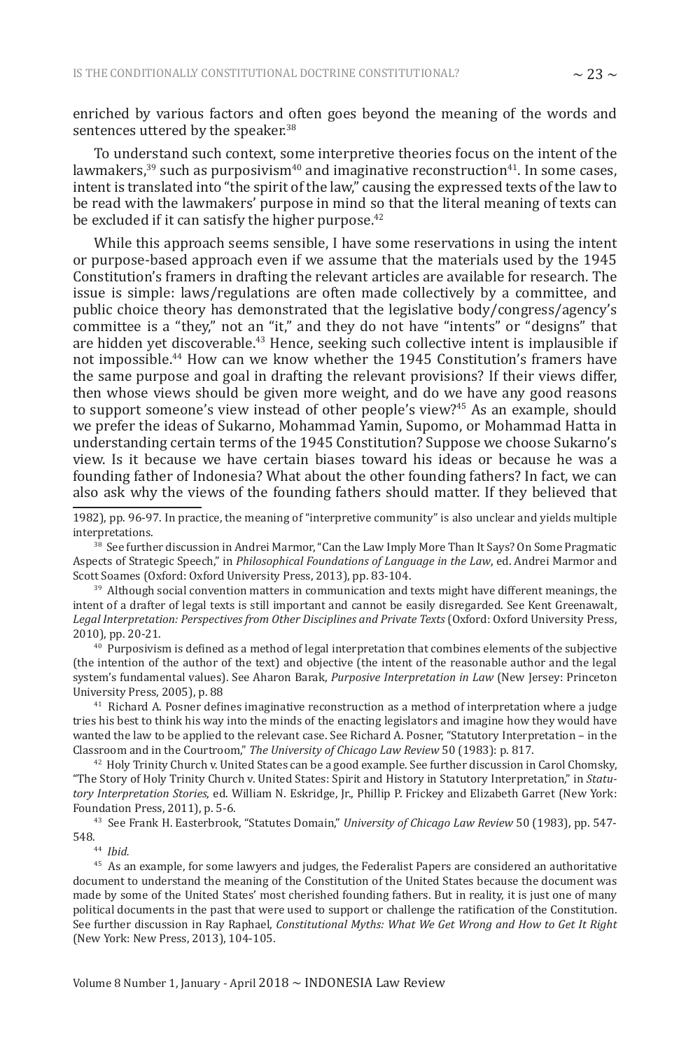enriched by various factors and often goes beyond the meaning of the words and sentences uttered by the speaker.<sup>38</sup>

To understand such context, some interpretive theories focus on the intent of the lawmakers,<sup>39</sup> such as purposivism<sup>40</sup> and imaginative reconstruction<sup>41</sup>. In some cases, intent is translated into "the spirit of the law," causing the expressed texts of the law to be read with the lawmakers' purpose in mind so that the literal meaning of texts can be excluded if it can satisfy the higher purpose.<sup>42</sup>

While this approach seems sensible, I have some reservations in using the intent or purpose-based approach even if we assume that the materials used by the 1945 Constitution's framers in drafting the relevant articles are available for research. The issue is simple: laws/regulations are often made collectively by a committee, and public choice theory has demonstrated that the legislative body/congress/agency's committee is a "they," not an "it," and they do not have "intents" or "designs" that are hidden yet discoverable.<sup>43</sup> Hence, seeking such collective intent is implausible if not impossible.<sup>44</sup> How can we know whether the 1945 Constitution's framers have the same purpose and goal in drafting the relevant provisions? If their views differ, then whose views should be given more weight, and do we have any good reasons to support someone's view instead of other people's view?<sup>45</sup> As an example, should we prefer the ideas of Sukarno, Mohammad Yamin, Supomo, or Mohammad Hatta in understanding certain terms of the 1945 Constitution? Suppose we choose Sukarno's view. Is it because we have certain biases toward his ideas or because he was a founding father of Indonesia? What about the other founding fathers? In fact, we can also ask why the views of the founding fathers should matter. If they believed that

1982), pp. 96-97. In practice, the meaning of "interpretive community" is also unclear and yields multiple interpretations.

<sup>38</sup> See further discussion in Andrei Marmor, "Can the Law Imply More Than It Says? On Some Pragmatic Aspects of Strategic Speech," in *Philosophical Foundations of Language in the Law*, ed. Andrei Marmor and Scott Soames (Oxford: Oxford University Press, 2013), pp. 83-104.

<sup>39</sup> Although social convention matters in communication and texts might have different meanings, the intent of a drafter of legal texts is still important and cannot be easily disregarded. See Kent Greenawalt, *Legal Interpretation: Perspectives from Other Disciplines and Private Texts* (Oxford: Oxford University Press, 2010), pp. 20-21.

 $40$  Purposivism is defined as a method of legal interpretation that combines elements of the subjective (the intention of the author of the text) and objective (the intent of the reasonable author and the legal system's fundamental values). See Aharon Barak, *Purposive Interpretation in Law* (New Jersey: Princeton University Press, 2005), p. 88

<sup>41</sup> Richard A. Posner defines imaginative reconstruction as a method of interpretation where a judge tries his best to think his way into the minds of the enacting legislators and imagine how they would have wanted the law to be applied to the relevant case. See Richard A. Posner, "Statutory Interpretation – in the Classroom and in the Courtroom," *The University of Chicago Law Review* 50 (1983): p. 817.

 $42$  Holy Trinity Church v. United States can be a good example. See further discussion in Carol Chomsky, "The Story of Holy Trinity Church v. United States: Spirit and History in Statutory Interpretation," in *Statutory Interpretation Stories*, ed. William N. Eskridge, Jr., Phillip P. Frickey and Elizabeth Garret (New York: Foundation Press, 2011), p. 5-6.

<sup>43</sup> See Frank H. Easterbrook, "Statutes Domain," *University of Chicago Law Review* 50 (1983), pp. 547- 548.

44 *Ibid.*

<sup>45</sup> As an example, for some lawyers and judges, the Federalist Papers are considered an authoritative document to understand the meaning of the Constitution of the United States because the document was made by some of the United States' most cherished founding fathers. But in reality, it is just one of many political documents in the past that were used to support or challenge the ratification of the Constitution. See further discussion in Ray Raphael, *Constitutional Myths: What We Get Wrong and How to Get It Right* (New York: New Press, 2013), 104-105.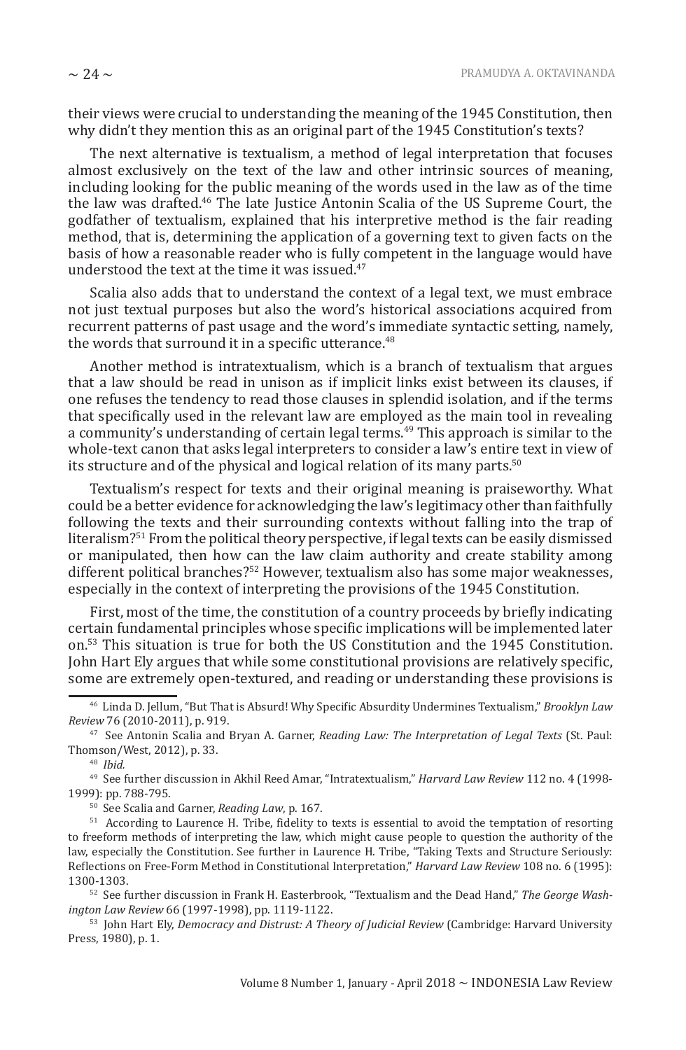their views were crucial to understanding the meaning of the 1945 Constitution, then why didn't they mention this as an original part of the 1945 Constitution's texts?

The next alternative is textualism, a method of legal interpretation that focuses almost exclusively on the text of the law and other intrinsic sources of meaning, including looking for the public meaning of the words used in the law as of the time the law was drafted.<sup>46</sup> The late Justice Antonin Scalia of the US Supreme Court, the godfather of textualism, explained that his interpretive method is the fair reading method, that is, determining the application of a governing text to given facts on the basis of how a reasonable reader who is fully competent in the language would have understood the text at the time it was issued.<sup>47</sup>

Scalia also adds that to understand the context of a legal text, we must embrace not just textual purposes but also the word's historical associations acquired from recurrent patterns of past usage and the word's immediate syntactic setting, namely, the words that surround it in a specific utterance.<sup>48</sup>

Another method is intratextualism, which is a branch of textualism that argues that a law should be read in unison as if implicit links exist between its clauses, if one refuses the tendency to read those clauses in splendid isolation, and if the terms that specifically used in the relevant law are employed as the main tool in revealing a community's understanding of certain legal terms.<sup>49</sup> This approach is similar to the whole-text canon that asks legal interpreters to consider a law's entire text in view of its structure and of the physical and logical relation of its many parts.<sup>50</sup>

Textualism's respect for texts and their original meaning is praiseworthy. What could be a better evidence for acknowledging the law's legitimacy other than faithfully following the texts and their surrounding contexts without falling into the trap of literalism?<sup>51</sup> From the political theory perspective, if legal texts can be easily dismissed or manipulated, then how can the law claim authority and create stability among different political branches?<sup>52</sup> However, textualism also has some major weaknesses, especially in the context of interpreting the provisions of the 1945 Constitution.

First, most of the time, the constitution of a country proceeds by briefly indicating certain fundamental principles whose specific implications will be implemented later on.<sup>53</sup> This situation is true for both the US Constitution and the 1945 Constitution. John Hart Ely argues that while some constitutional provisions are relatively specific, some are extremely open-textured, and reading or understanding these provisions is

<sup>46</sup> Linda D. Jellum, "But That is Absurd! Why Specific Absurdity Undermines Textualism," *Brooklyn Law Review* 76 (2010-2011), p. 919.

<sup>47</sup> See Antonin Scalia and Bryan A. Garner, *Reading Law: The Interpretation of Legal Texts* (St. Paul: Thomson/West, 2012), p. 33.

<sup>48</sup> *Ibid.*

<sup>49</sup> See further discussion in Akhil Reed Amar, "Intratextualism," *Harvard Law Review* 112 no. 4 (1998- 1999): pp. 788-795.

<sup>50</sup> See Scalia and Garner, *Reading Law*, p. 167.

<sup>51</sup> According to Laurence H. Tribe, fidelity to texts is essential to avoid the temptation of resorting to freeform methods of interpreting the law, which might cause people to question the authority of the law, especially the Constitution. See further in Laurence H. Tribe, "Taking Texts and Structure Seriously: Reflections on Free-Form Method in Constitutional Interpretation," *Harvard Law Review* 108 no. 6 (1995): 1300-1303.

<sup>52</sup> See further discussion in Frank H. Easterbrook, "Textualism and the Dead Hand," *The George Washington Law Review* 66 (1997-1998), pp. 1119-1122.

<sup>53</sup> John Hart Ely, *Democracy and Distrust: A Theory of Judicial Review* (Cambridge: Harvard University Press, 1980), p. 1.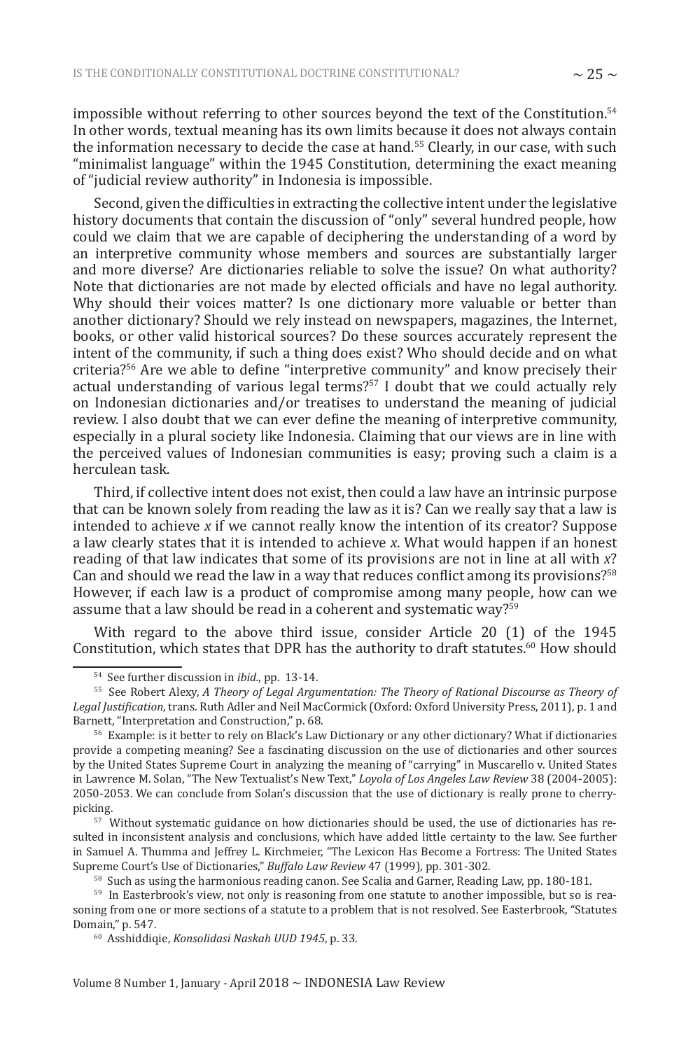impossible without referring to other sources beyond the text of the Constitution.<sup>54</sup> In other words, textual meaning has its own limits because it does not always contain the information necessary to decide the case at hand.<sup>55</sup> Clearly, in our case, with such "minimalist language" within the 1945 Constitution, determining the exact meaning of "judicial review authority" in Indonesia is impossible.

Second, given the difficulties in extracting the collective intent under the legislative history documents that contain the discussion of "only" several hundred people, how could we claim that we are capable of deciphering the understanding of a word by an interpretive community whose members and sources are substantially larger and more diverse? Are dictionaries reliable to solve the issue? On what authority? Note that dictionaries are not made by elected officials and have no legal authority. Why should their voices matter? Is one dictionary more valuable or better than another dictionary? Should we rely instead on newspapers, magazines, the Internet, books, or other valid historical sources? Do these sources accurately represent the intent of the community, if such a thing does exist? Who should decide and on what criteria?<sup>56</sup> Are we able to define "interpretive community" and know precisely their actual understanding of various legal terms?<sup>57</sup> I doubt that we could actually rely on Indonesian dictionaries and/or treatises to understand the meaning of judicial review. I also doubt that we can ever define the meaning of interpretive community, especially in a plural society like Indonesia. Claiming that our views are in line with the perceived values of Indonesian communities is easy; proving such a claim is a herculean task.

Third, if collective intent does not exist, then could a law have an intrinsic purpose that can be known solely from reading the law as it is? Can we really say that a law is intended to achieve *x* if we cannot really know the intention of its creator? Suppose a law clearly states that it is intended to achieve *x*. What would happen if an honest reading of that law indicates that some of its provisions are not in line at all with *x*? Can and should we read the law in a way that reduces conflict among its provisions?<sup>58</sup> However, if each law is a product of compromise among many people, how can we assume that a law should be read in a coherent and systematic way?<sup>59</sup>

With regard to the above third issue, consider Article 20 (1) of the 1945 Constitution, which states that DPR has the authority to draft statutes.<sup>60</sup> How should

<sup>54</sup> See further discussion in *ibid.*, pp. 13-14.

<sup>55</sup> See Robert Alexy, *A Theory of Legal Argumentation: The Theory of Rational Discourse as Theory of Legal Justification*, trans. Ruth Adler and Neil MacCormick (Oxford: Oxford University Press, 2011), p. 1 and Barnett, "Interpretation and Construction," p. 68.

<sup>56</sup> Example: is it better to rely on Black's Law Dictionary or any other dictionary? What if dictionaries provide a competing meaning? See a fascinating discussion on the use of dictionaries and other sources by the United States Supreme Court in analyzing the meaning of "carrying" in Muscarello v. United States in Lawrence M. Solan, "The New Textualist's New Text," *Loyola of Los Angeles Law Review* 38 (2004-2005): 2050-2053. We can conclude from Solan's discussion that the use of dictionary is really prone to cherrypicking.

 $57$  Without systematic guidance on how dictionaries should be used, the use of dictionaries has resulted in inconsistent analysis and conclusions, which have added little certainty to the law. See further in Samuel A. Thumma and Jeffrey L. Kirchmeier, "The Lexicon Has Become a Fortress: The United States Supreme Court's Use of Dictionaries," *Buffalo Law Review* 47 (1999), pp. 301-302.

<sup>58</sup> Such as using the harmonious reading canon. See Scalia and Garner, Reading Law, pp. 180-181.

<sup>&</sup>lt;sup>59</sup> In Easterbrook's view, not only is reasoning from one statute to another impossible, but so is reasoning from one or more sections of a statute to a problem that is not resolved. See Easterbrook, "Statutes Domain," p. 547.

<sup>60</sup> Asshiddiqie, *Konsolidasi Naskah UUD 1945*, p. 33.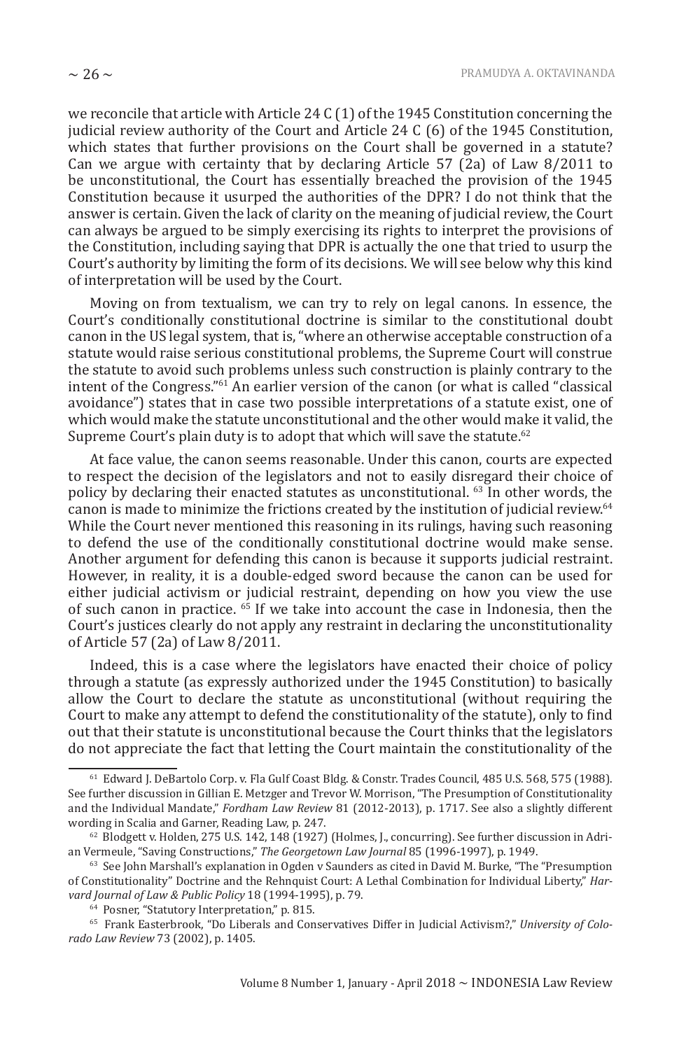we reconcile that article with Article 24 C (1) of the 1945 Constitution concerning the judicial review authority of the Court and Article 24 C (6) of the 1945 Constitution, which states that further provisions on the Court shall be governed in a statute? Can we argue with certainty that by declaring Article 57 (2a) of Law 8/2011 to be unconstitutional, the Court has essentially breached the provision of the 1945 Constitution because it usurped the authorities of the DPR? I do not think that the answer is certain. Given the lack of clarity on the meaning of judicial review, the Court can always be argued to be simply exercising its rights to interpret the provisions of the Constitution, including saying that DPR is actually the one that tried to usurp the Court's authority by limiting the form of its decisions. We will see below why this kind of interpretation will be used by the Court.

Moving on from textualism, we can try to rely on legal canons. In essence, the Court's conditionally constitutional doctrine is similar to the constitutional doubt canon in the US legal system, that is, "where an otherwise acceptable construction of a statute would raise serious constitutional problems, the Supreme Court will construe the statute to avoid such problems unless such construction is plainly contrary to the intent of the Congress."<sup>61</sup> An earlier version of the canon (or what is called "classical avoidance") states that in case two possible interpretations of a statute exist, one of which would make the statute unconstitutional and the other would make it valid, the Supreme Court's plain duty is to adopt that which will save the statute.<sup>62</sup>

At face value, the canon seems reasonable. Under this canon, courts are expected to respect the decision of the legislators and not to easily disregard their choice of policy by declaring their enacted statutes as unconstitutional. <sup>63</sup> In other words, the canon is made to minimize the frictions created by the institution of judicial review.<sup>64</sup> While the Court never mentioned this reasoning in its rulings, having such reasoning to defend the use of the conditionally constitutional doctrine would make sense. Another argument for defending this canon is because it supports judicial restraint. However, in reality, it is a double-edged sword because the canon can be used for either judicial activism or judicial restraint, depending on how you view the use of such canon in practice. <sup>65</sup> If we take into account the case in Indonesia, then the Court's justices clearly do not apply any restraint in declaring the unconstitutionality of Article 57 (2a) of Law 8/2011.

Indeed, this is a case where the legislators have enacted their choice of policy through a statute (as expressly authorized under the 1945 Constitution) to basically allow the Court to declare the statute as unconstitutional (without requiring the Court to make any attempt to defend the constitutionality of the statute), only to find out that their statute is unconstitutional because the Court thinks that the legislators do not appreciate the fact that letting the Court maintain the constitutionality of the

<sup>61</sup> Edward J. DeBartolo Corp. v. Fla Gulf Coast Bldg. & Constr. Trades Council, 485 U.S. 568, 575 (1988). See further discussion in Gillian E. Metzger and Trevor W. Morrison, "The Presumption of Constitutionality and the Individual Mandate," *Fordham Law Review* 81 (2012-2013), p. 1717. See also a slightly different wording in Scalia and Garner, Reading Law, p. 247.

 $62$  Blodgett v. Holden, 275 U.S. 142, 148 (1927) (Holmes, J., concurring). See further discussion in Adrian Vermeule, "Saving Constructions," *The Georgetown Law Journal* 85 (1996-1997), p. 1949.

 $63$  See John Marshall's explanation in Ogden v Saunders as cited in David M. Burke, "The "Presumption of Constitutionality" Doctrine and the Rehnquist Court: A Lethal Combination for Individual Liberty," *Harvard Journal of Law & Public Policy* 18 (1994-1995), p. 79.

<sup>64</sup> Posner, "Statutory Interpretation," p. 815.

<sup>65</sup> Frank Easterbrook, "Do Liberals and Conservatives Differ in Judicial Activism?," *University of Colorado Law Review* 73 (2002), p. 1405.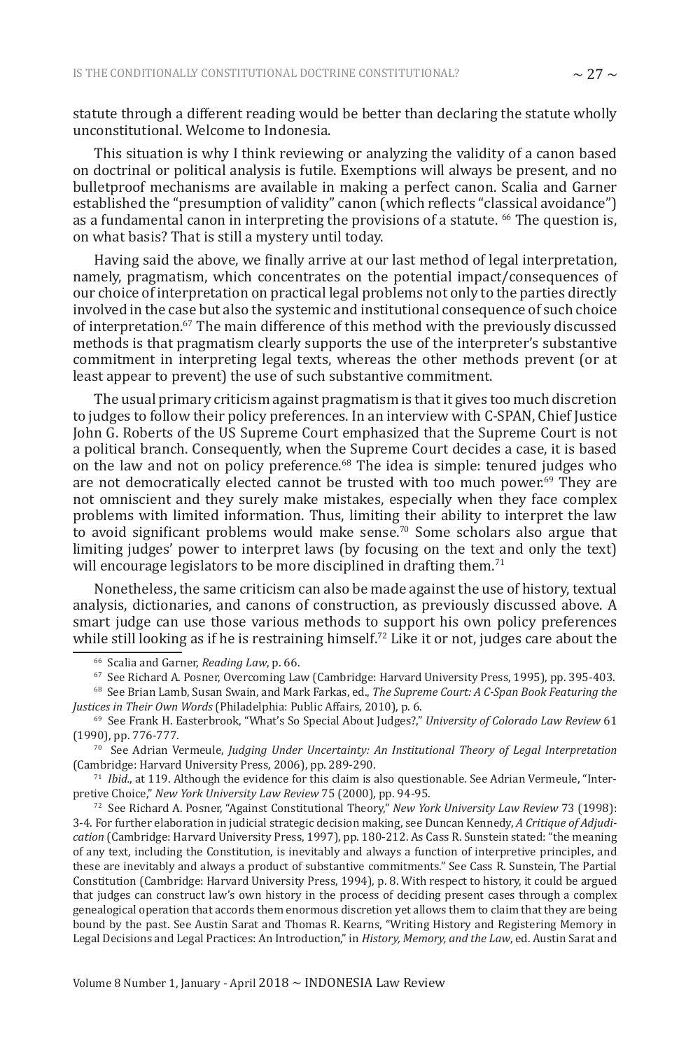statute through a different reading would be better than declaring the statute wholly unconstitutional. Welcome to Indonesia.

This situation is why I think reviewing or analyzing the validity of a canon based on doctrinal or political analysis is futile. Exemptions will always be present, and no bulletproof mechanisms are available in making a perfect canon. Scalia and Garner established the "presumption of validity" canon (which reflects "classical avoidance") as a fundamental canon in interpreting the provisions of a statute.  $^{66}$  The question is, on what basis? That is still a mystery until today.

Having said the above, we finally arrive at our last method of legal interpretation, namely, pragmatism, which concentrates on the potential impact/consequences of our choice of interpretation on practical legal problems not only to the parties directly involved in the case but also the systemic and institutional consequence of such choice of interpretation.<sup>67</sup> The main difference of this method with the previously discussed methods is that pragmatism clearly supports the use of the interpreter's substantive commitment in interpreting legal texts, whereas the other methods prevent (or at least appear to prevent) the use of such substantive commitment.

The usual primary criticism against pragmatism is that it gives too much discretion to judges to follow their policy preferences. In an interview with C-SPAN, Chief Justice John G. Roberts of the US Supreme Court emphasized that the Supreme Court is not a political branch. Consequently, when the Supreme Court decides a case, it is based on the law and not on policy preference.<sup>68</sup> The idea is simple: tenured judges who are not democratically elected cannot be trusted with too much power.<sup>69</sup> They are not omniscient and they surely make mistakes, especially when they face complex problems with limited information. Thus, limiting their ability to interpret the law to avoid significant problems would make sense.<sup>70</sup> Some scholars also argue that limiting judges' power to interpret laws (by focusing on the text and only the text) will encourage legislators to be more disciplined in drafting them.<sup>71</sup>

Nonetheless, the same criticism can also be made against the use of history, textual analysis, dictionaries, and canons of construction, as previously discussed above. A smart judge can use those various methods to support his own policy preferences while still looking as if he is restraining himself.<sup>72</sup> Like it or not, judges care about the

<sup>72</sup> See Richard A. Posner, "Against Constitutional Theory," *New York University Law Review* 73 (1998): 3-4. For further elaboration in judicial strategic decision making, see Duncan Kennedy, *A Critique of Adjudication* (Cambridge: Harvard University Press, 1997), pp. 180-212. As Cass R. Sunstein stated: "the meaning of any text, including the Constitution, is inevitably and always a function of interpretive principles, and these are inevitably and always a product of substantive commitments." See Cass R. Sunstein, The Partial Constitution (Cambridge: Harvard University Press, 1994), p. 8. With respect to history, it could be argued that judges can construct law's own history in the process of deciding present cases through a complex genealogical operation that accords them enormous discretion yet allows them to claim that they are being bound by the past. See Austin Sarat and Thomas R. Kearns, "Writing History and Registering Memory in Legal Decisions and Legal Practices: An Introduction," in *History, Memory, and the Law*, ed. Austin Sarat and

<sup>66</sup> Scalia and Garner, *Reading Law*, p. 66.

<sup>67</sup> See Richard A. Posner, Overcoming Law (Cambridge: Harvard University Press, 1995), pp. 395-403.

<sup>68</sup> See Brian Lamb, Susan Swain, and Mark Farkas, ed., *The Supreme Court: A C-Span Book Featuring the Justices in Their Own Words* (Philadelphia: Public Affairs, 2010), p. 6.

<sup>69</sup> See Frank H. Easterbrook, "What's So Special About Judges?," *University of Colorado Law Review* 61 (1990), pp. 776-777.

<sup>70</sup> See Adrian Vermeule, *Judging Under Uncertainty: An Institutional Theory of Legal Interpretation* (Cambridge: Harvard University Press, 2006), pp. 289-290.

<sup>71</sup> *Ibid.*, at 119. Although the evidence for this claim is also questionable. See Adrian Vermeule, "Interpretive Choice," *New York University Law Review* 75 (2000), pp. 94-95.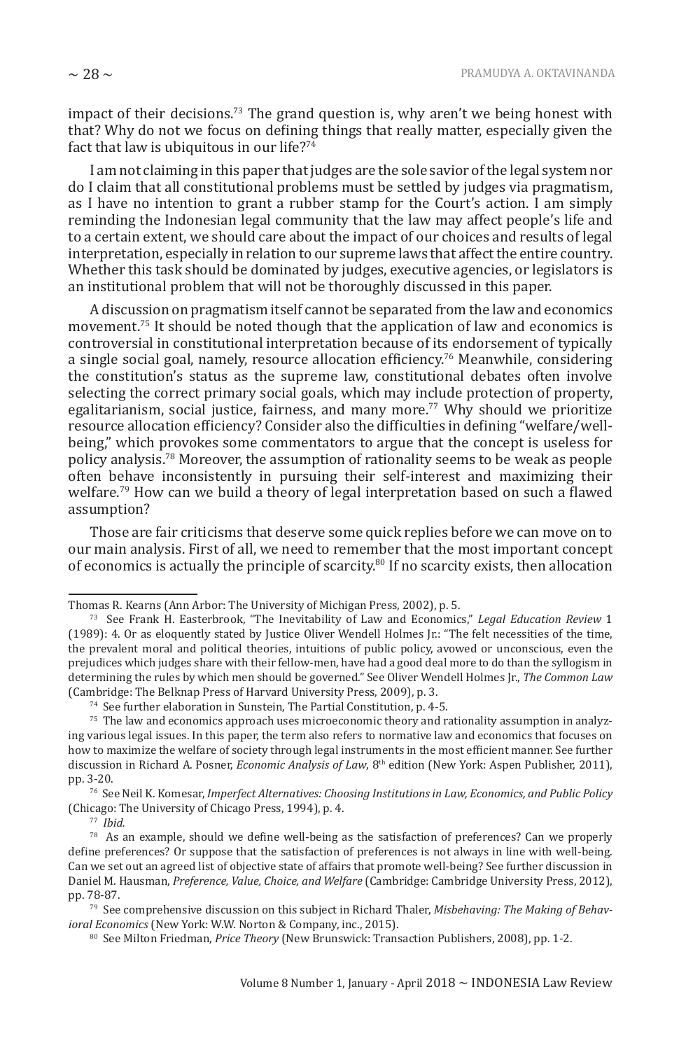impact of their decisions.<sup>73</sup> The grand question is, why aren't we being honest with that? Why do not we focus on defining things that really matter, especially given the fact that law is ubiquitous in our life?<sup>74</sup>

I am not claiming in this paper that judges are the sole savior of the legal system nor do I claim that all constitutional problems must be settled by judges via pragmatism, as I have no intention to grant a rubber stamp for the Court's action. I am simply reminding the Indonesian legal community that the law may affect people's life and to a certain extent, we should care about the impact of our choices and results of legal interpretation, especially in relation to our supreme laws that affect the entire country. Whether this task should be dominated by judges, executive agencies, or legislators is an institutional problem that will not be thoroughly discussed in this paper.

A discussion on pragmatism itself cannot be separated from the law and economics movement.<sup>75</sup> It should be noted though that the application of law and economics is controversial in constitutional interpretation because of its endorsement of typically a single social goal, namely, resource allocation efficiency.<sup>76</sup> Meanwhile, considering the constitution's status as the supreme law, constitutional debates often involve selecting the correct primary social goals, which may include protection of property, egalitarianism, social justice, fairness, and many more.<sup>77</sup> Why should we prioritize resource allocation efficiency? Consider also the difficulties in defining "welfare/wellbeing," which provokes some commentators to argue that the concept is useless for policy analysis.<sup>78</sup> Moreover, the assumption of rationality seems to be weak as people often behave inconsistently in pursuing their self-interest and maximizing their welfare.<sup>79</sup> How can we build a theory of legal interpretation based on such a flawed assumption?

Those are fair criticisms that deserve some quick replies before we can move on to our main analysis. First of all, we need to remember that the most important concept of economics is actually the principle of scarcity.<sup>80</sup> If no scarcity exists, then allocation

Thomas R. Kearns (Ann Arbor: The University of Michigan Press, 2002), p. 5.

<sup>73</sup> See Frank H. Easterbrook, "The Inevitability of Law and Economics," *Legal Education Review* 1 (1989): 4. Or as eloquently stated by Justice Oliver Wendell Holmes Jr.: "The felt necessities of the time, the prevalent moral and political theories, intuitions of public policy, avowed or unconscious, even the prejudices which judges share with their fellow-men, have had a good deal more to do than the syllogism in determining the rules by which men should be governed." See Oliver Wendell Holmes Jr., *The Common Law*  (Cambridge: The Belknap Press of Harvard University Press, 2009), p. 3.

<sup>74</sup> See further elaboration in Sunstein, The Partial Constitution, p. 4-5.

<sup>&</sup>lt;sup>75</sup> The law and economics approach uses microeconomic theory and rationality assumption in analyzing various legal issues. In this paper, the term also refers to normative law and economics that focuses on how to maximize the welfare of society through legal instruments in the most efficient manner. See further discussion in Richard A. Posner, *Economic Analysis of Law*, 8th edition (New York: Aspen Publisher, 2011), pp. 3-20.

<sup>76</sup> See Neil K. Komesar, *Imperfect Alternatives: Choosing Institutions in Law, Economics, and Public Policy* (Chicago: The University of Chicago Press, 1994), p. 4.

<sup>77</sup> *Ibid.*

<sup>78</sup> As an example, should we define well-being as the satisfaction of preferences? Can we properly define preferences? Or suppose that the satisfaction of preferences is not always in line with well-being. Can we set out an agreed list of objective state of affairs that promote well-being? See further discussion in Daniel M. Hausman, *Preference, Value, Choice, and Welfare* (Cambridge: Cambridge University Press, 2012), pp. 78-87.

<sup>79</sup> See comprehensive discussion on this subject in Richard Thaler, *Misbehaving: The Making of Behavioral Economics* (New York: W.W. Norton & Company, inc., 2015).

<sup>80</sup> See Milton Friedman, *Price Theory* (New Brunswick: Transaction Publishers, 2008), pp. 1-2.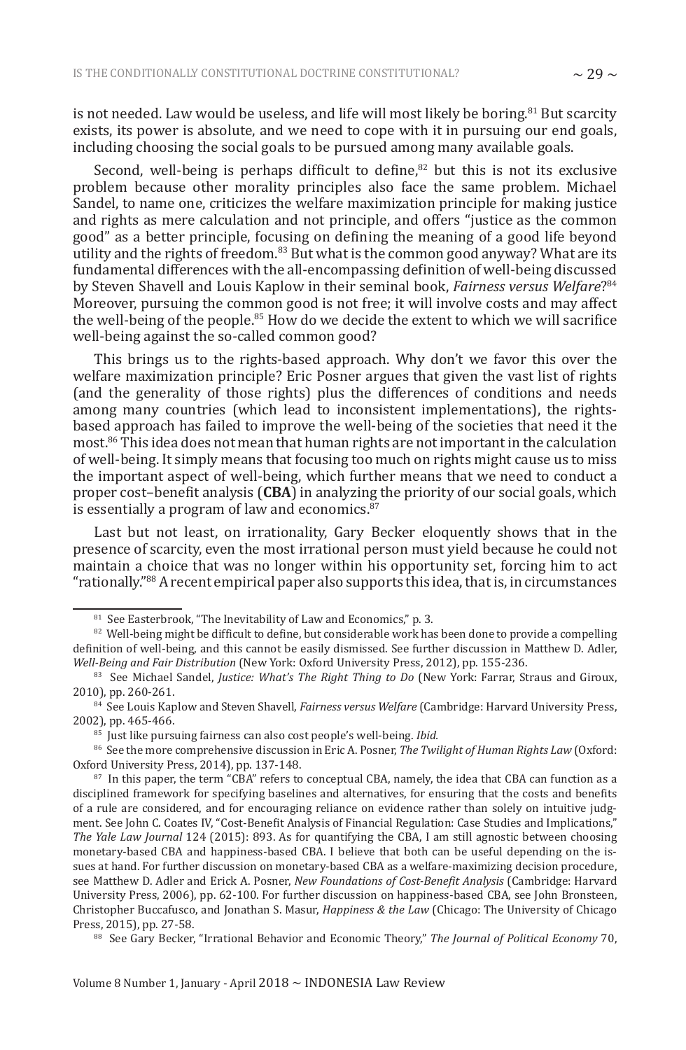is not needed. Law would be useless, and life will most likely be boring.<sup>81</sup> But scarcity exists, its power is absolute, and we need to cope with it in pursuing our end goals, including choosing the social goals to be pursued among many available goals.

Second, well-being is perhaps difficult to define, $82$  but this is not its exclusive problem because other morality principles also face the same problem. Michael Sandel, to name one, criticizes the welfare maximization principle for making justice and rights as mere calculation and not principle, and offers "justice as the common good" as a better principle, focusing on defining the meaning of a good life beyond utility and the rights of freedom.<sup>83</sup> But what is the common good anyway? What are its fundamental differences with the all-encompassing definition of well-being discussed by Steven Shavell and Louis Kaplow in their seminal book, *Fairness versus Welfare*? 84 Moreover, pursuing the common good is not free; it will involve costs and may affect the well-being of the people.<sup>85</sup> How do we decide the extent to which we will sacrifice well-being against the so-called common good?

This brings us to the rights-based approach. Why don't we favor this over the welfare maximization principle? Eric Posner argues that given the vast list of rights (and the generality of those rights) plus the differences of conditions and needs among many countries (which lead to inconsistent implementations), the rightsbased approach has failed to improve the well-being of the societies that need it the most. $^{86}$  This idea does not mean that human rights are not important in the calculation of well-being. It simply means that focusing too much on rights might cause us to miss the important aspect of well-being, which further means that we need to conduct a proper cost–benefit analysis (**CBA**) in analyzing the priority of our social goals, which is essentially a program of law and economics.<sup>87</sup>

Last but not least, on irrationality, Gary Becker eloquently shows that in the presence of scarcity, even the most irrational person must yield because he could not maintain a choice that was no longer within his opportunity set, forcing him to act "rationally."<sup>88</sup> A recent empirical paper also supports this idea, that is, in circumstances

<sup>&</sup>lt;sup>81</sup> See Easterbrook, "The Inevitability of Law and Economics," p. 3.

 $82$  Well-being might be difficult to define, but considerable work has been done to provide a compelling definition of well-being, and this cannot be easily dismissed. See further discussion in Matthew D. Adler, *Well-Being and Fair Distribution* (New York: Oxford University Press, 2012), pp. 155-236.

<sup>83</sup> See Michael Sandel, *Justice: What's The Right Thing to Do* (New York: Farrar, Straus and Giroux, 2010), pp. 260-261.

<sup>84</sup> See Louis Kaplow and Steven Shavell, *Fairness versus Welfare* (Cambridge: Harvard University Press, 2002), pp. 465-466.

<sup>85</sup> Just like pursuing fairness can also cost people's well-being. *Ibid.*

<sup>86</sup> See the more comprehensive discussion in Eric A. Posner, *The Twilight of Human Rights Law* (Oxford: Oxford University Press, 2014), pp. 137-148.

<sup>&</sup>lt;sup>87</sup> In this paper, the term "CBA" refers to conceptual CBA, namely, the idea that CBA can function as a disciplined framework for specifying baselines and alternatives, for ensuring that the costs and benefits of a rule are considered, and for encouraging reliance on evidence rather than solely on intuitive judgment. See John C. Coates IV, "Cost-Benefit Analysis of Financial Regulation: Case Studies and Implications," *The Yale Law Journal* 124 (2015): 893. As for quantifying the CBA, I am still agnostic between choosing monetary-based CBA and happiness-based CBA. I believe that both can be useful depending on the issues at hand. For further discussion on monetary-based CBA as a welfare-maximizing decision procedure, see Matthew D. Adler and Erick A. Posner, *New Foundations of Cost-Benefit Analysis* (Cambridge: Harvard University Press, 2006), pp. 62-100. For further discussion on happiness-based CBA, see John Bronsteen, Christopher Buccafusco, and Jonathan S. Masur, *Happiness & the Law* (Chicago: The University of Chicago Press, 2015), pp. 27-58.

<sup>88</sup> See Gary Becker, "Irrational Behavior and Economic Theory," *The Journal of Political Economy* 70,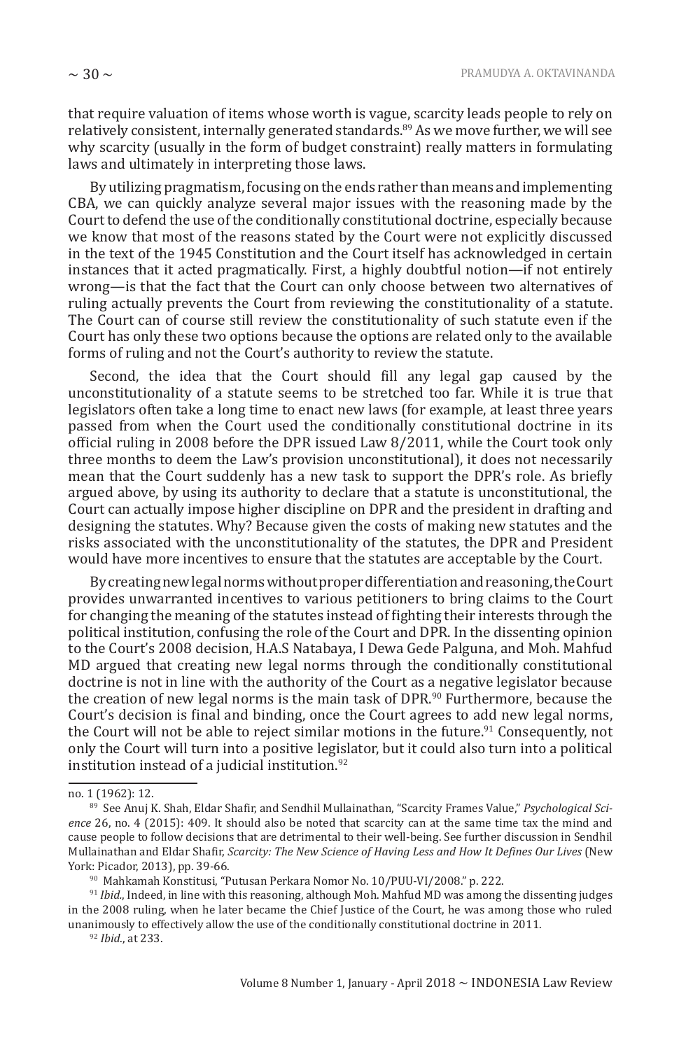that require valuation of items whose worth is vague, scarcity leads people to rely on relatively consistent, internally generated standards.<sup>89</sup> As we move further, we will see why scarcity (usually in the form of budget constraint) really matters in formulating laws and ultimately in interpreting those laws.

By utilizing pragmatism, focusing on the ends rather than means and implementing CBA, we can quickly analyze several major issues with the reasoning made by the Court to defend the use of the conditionally constitutional doctrine, especially because we know that most of the reasons stated by the Court were not explicitly discussed in the text of the 1945 Constitution and the Court itself has acknowledged in certain instances that it acted pragmatically. First, a highly doubtful notion—if not entirely wrong—is that the fact that the Court can only choose between two alternatives of ruling actually prevents the Court from reviewing the constitutionality of a statute. The Court can of course still review the constitutionality of such statute even if the Court has only these two options because the options are related only to the available forms of ruling and not the Court's authority to review the statute.

Second, the idea that the Court should fill any legal gap caused by the unconstitutionality of a statute seems to be stretched too far. While it is true that legislators often take a long time to enact new laws (for example, at least three years passed from when the Court used the conditionally constitutional doctrine in its official ruling in 2008 before the DPR issued Law 8/2011, while the Court took only three months to deem the Law's provision unconstitutional), it does not necessarily mean that the Court suddenly has a new task to support the DPR's role. As briefly argued above, by using its authority to declare that a statute is unconstitutional, the Court can actually impose higher discipline on DPR and the president in drafting and designing the statutes. Why? Because given the costs of making new statutes and the risks associated with the unconstitutionality of the statutes, the DPR and President would have more incentives to ensure that the statutes are acceptable by the Court.

By creating new legal norms without proper differentiation and reasoning, the Court provides unwarranted incentives to various petitioners to bring claims to the Court for changing the meaning of the statutes instead of fighting their interests through the political institution, confusing the role of the Court and DPR. In the dissenting opinion to the Court's 2008 decision, H.A.S Natabaya, I Dewa Gede Palguna, and Moh. Mahfud MD argued that creating new legal norms through the conditionally constitutional doctrine is not in line with the authority of the Court as a negative legislator because the creation of new legal norms is the main task of DPR.<sup>90</sup> Furthermore, because the Court's decision is final and binding, once the Court agrees to add new legal norms, the Court will not be able to reject similar motions in the future.<sup>91</sup> Consequently, not only the Court will turn into a positive legislator, but it could also turn into a political institution instead of a judicial institution.<sup>92</sup>

no. 1 (1962): 12.

<sup>89</sup> See Anuj K. Shah, Eldar Shafir, and Sendhil Mullainathan, "Scarcity Frames Value," *Psychological Science* 26, no. 4 (2015): 409. It should also be noted that scarcity can at the same time tax the mind and cause people to follow decisions that are detrimental to their well-being. See further discussion in Sendhil Mullainathan and Eldar Shafir, *Scarcity: The New Science of Having Less and How It Defines Our Lives* (New York: Picador, 2013), pp. 39-66.

<sup>90</sup> Mahkamah Konstitusi, "Putusan Perkara Nomor No. 10/PUU-VI/2008." p. 222.

<sup>&</sup>lt;sup>91</sup> *Ibid.*, Indeed, in line with this reasoning, although Moh. Mahfud MD was among the dissenting judges in the 2008 ruling, when he later became the Chief Justice of the Court, he was among those who ruled unanimously to effectively allow the use of the conditionally constitutional doctrine in 2011.

<sup>92</sup> *Ibid.*, at 233.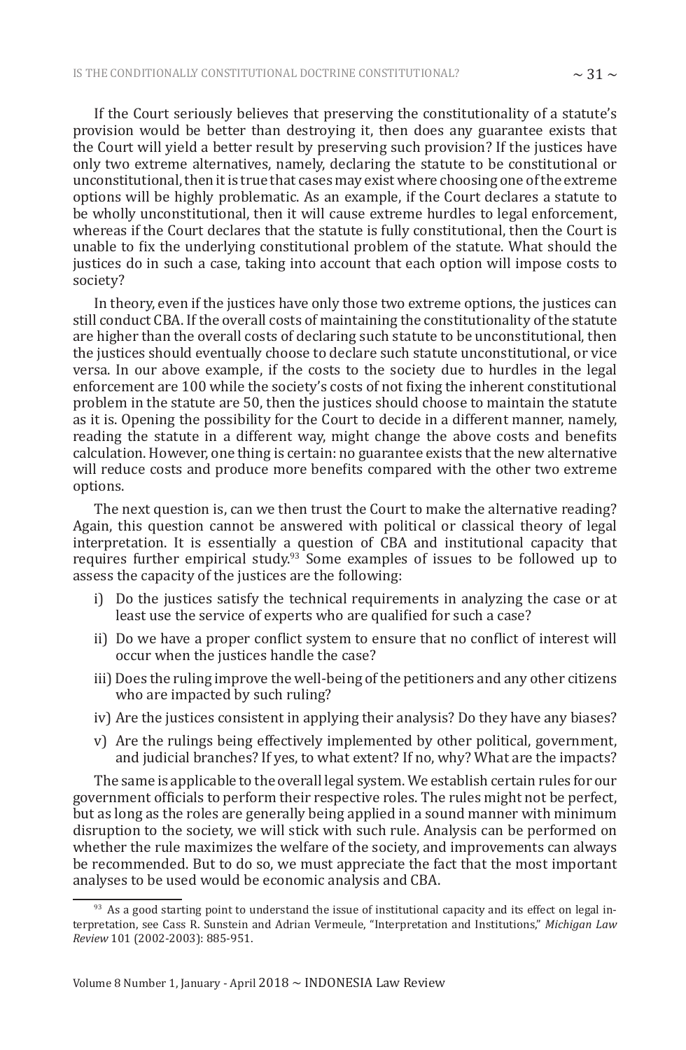If the Court seriously believes that preserving the constitutionality of a statute's provision would be better than destroying it, then does any guarantee exists that the Court will yield a better result by preserving such provision? If the justices have only two extreme alternatives, namely, declaring the statute to be constitutional or unconstitutional, then it is true that cases may exist where choosing one of the extreme options will be highly problematic. As an example, if the Court declares a statute to be wholly unconstitutional, then it will cause extreme hurdles to legal enforcement, whereas if the Court declares that the statute is fully constitutional, then the Court is unable to fix the underlying constitutional problem of the statute. What should the justices do in such a case, taking into account that each option will impose costs to society?

In theory, even if the justices have only those two extreme options, the justices can still conduct CBA. If the overall costs of maintaining the constitutionality of the statute are higher than the overall costs of declaring such statute to be unconstitutional, then the justices should eventually choose to declare such statute unconstitutional, or vice versa. In our above example, if the costs to the society due to hurdles in the legal enforcement are 100 while the society's costs of not fixing the inherent constitutional problem in the statute are 50, then the justices should choose to maintain the statute as it is. Opening the possibility for the Court to decide in a different manner, namely, reading the statute in a different way, might change the above costs and benefits calculation. However, one thing is certain: no guarantee exists that the new alternative will reduce costs and produce more benefits compared with the other two extreme options.

The next question is, can we then trust the Court to make the alternative reading? Again, this question cannot be answered with political or classical theory of legal interpretation. It is essentially a question of CBA and institutional capacity that requires further empirical study.<sup>93</sup> Some examples of issues to be followed up to assess the capacity of the justices are the following:

- i) Do the justices satisfy the technical requirements in analyzing the case or at least use the service of experts who are qualified for such a case?
- ii) Do we have a proper conflict system to ensure that no conflict of interest will occur when the justices handle the case?
- iii) Does the ruling improve the well-being of the petitioners and any other citizens who are impacted by such ruling?
- iv) Are the justices consistent in applying their analysis? Do they have any biases?
- v) Are the rulings being effectively implemented by other political, government, and judicial branches? If yes, to what extent? If no, why? What are the impacts?

The same is applicable to the overall legal system. We establish certain rules for our government officials to perform their respective roles. The rules might not be perfect, but as long as the roles are generally being applied in a sound manner with minimum disruption to the society, we will stick with such rule. Analysis can be performed on whether the rule maximizes the welfare of the society, and improvements can always be recommended. But to do so, we must appreciate the fact that the most important analyses to be used would be economic analysis and CBA.

<sup>93</sup> As a good starting point to understand the issue of institutional capacity and its effect on legal interpretation, see Cass R. Sunstein and Adrian Vermeule, "Interpretation and Institutions," *Michigan Law Review* 101 (2002-2003): 885-951.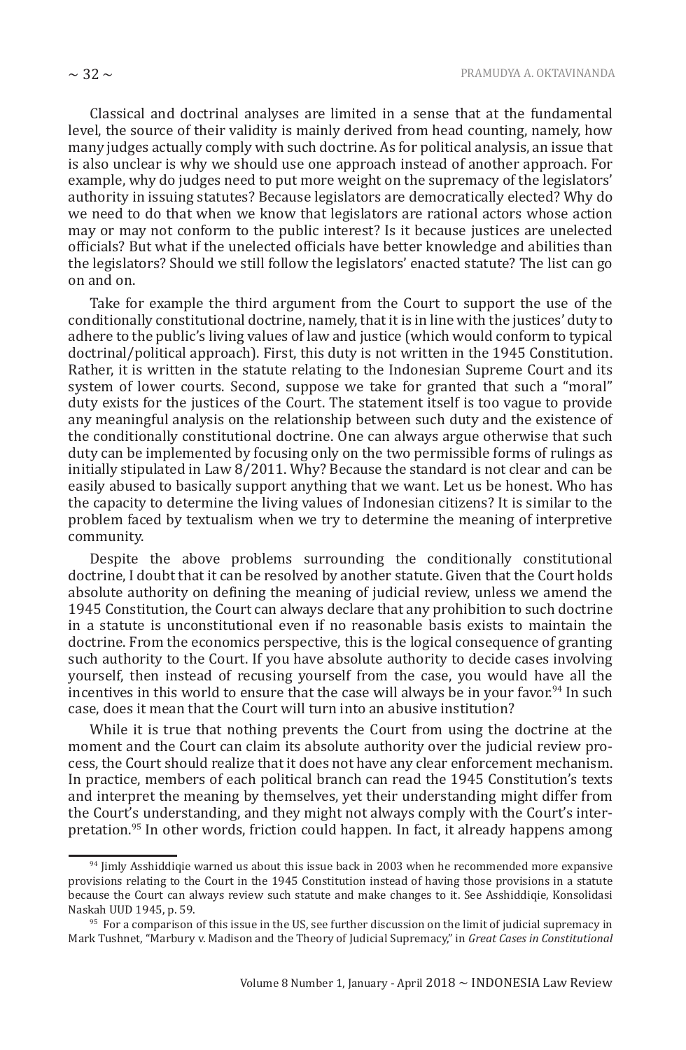Classical and doctrinal analyses are limited in a sense that at the fundamental level, the source of their validity is mainly derived from head counting, namely, how many judges actually comply with such doctrine. As for political analysis, an issue that is also unclear is why we should use one approach instead of another approach. For example, why do judges need to put more weight on the supremacy of the legislators' authority in issuing statutes? Because legislators are democratically elected? Why do we need to do that when we know that legislators are rational actors whose action may or may not conform to the public interest? Is it because justices are unelected officials? But what if the unelected officials have better knowledge and abilities than the legislators? Should we still follow the legislators' enacted statute? The list can go on and on.

Take for example the third argument from the Court to support the use of the conditionally constitutional doctrine, namely, that it is in line with the justices' duty to adhere to the public's living values of law and justice (which would conform to typical doctrinal/political approach). First, this duty is not written in the 1945 Constitution. Rather, it is written in the statute relating to the Indonesian Supreme Court and its system of lower courts. Second, suppose we take for granted that such a "moral" duty exists for the justices of the Court. The statement itself is too vague to provide any meaningful analysis on the relationship between such duty and the existence of the conditionally constitutional doctrine. One can always argue otherwise that such duty can be implemented by focusing only on the two permissible forms of rulings as initially stipulated in Law 8/2011. Why? Because the standard is not clear and can be easily abused to basically support anything that we want. Let us be honest. Who has the capacity to determine the living values of Indonesian citizens? It is similar to the problem faced by textualism when we try to determine the meaning of interpretive community.

Despite the above problems surrounding the conditionally constitutional doctrine, I doubt that it can be resolved by another statute. Given that the Court holds absolute authority on defining the meaning of judicial review, unless we amend the 1945 Constitution, the Court can always declare that any prohibition to such doctrine in a statute is unconstitutional even if no reasonable basis exists to maintain the doctrine. From the economics perspective, this is the logical consequence of granting such authority to the Court. If you have absolute authority to decide cases involving yourself, then instead of recusing yourself from the case, you would have all the incentives in this world to ensure that the case will always be in your favor.<sup>94</sup> In such case, does it mean that the Court will turn into an abusive institution?

While it is true that nothing prevents the Court from using the doctrine at the moment and the Court can claim its absolute authority over the judicial review process, the Court should realize that it does not have any clear enforcement mechanism. In practice, members of each political branch can read the 1945 Constitution's texts and interpret the meaning by themselves, yet their understanding might differ from the Court's understanding, and they might not always comply with the Court's interpretation.<sup>95</sup> In other words, friction could happen. In fact, it already happens among

<sup>&</sup>lt;sup>94</sup> Jimly Asshiddiqie warned us about this issue back in 2003 when he recommended more expansive provisions relating to the Court in the 1945 Constitution instead of having those provisions in a statute because the Court can always review such statute and make changes to it. See Asshiddiqie, Konsolidasi Naskah UUD 1945, p. 59.

<sup>&</sup>lt;sup>95</sup> For a comparison of this issue in the US, see further discussion on the limit of judicial supremacy in Mark Tushnet, "Marbury v. Madison and the Theory of Judicial Supremacy," in *Great Cases in Constitutional*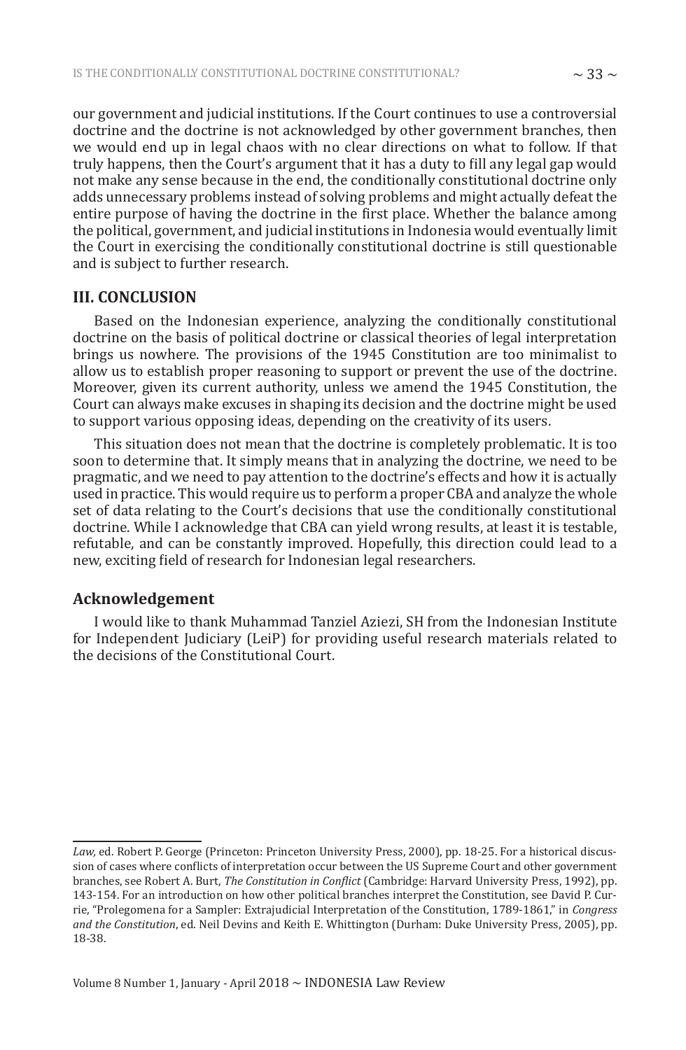our government and judicial institutions. If the Court continues to use a controversial doctrine and the doctrine is not acknowledged by other government branches, then we would end up in legal chaos with no clear directions on what to follow. If that truly happens, then the Court's argument that it has a duty to fill any legal gap would not make any sense because in the end, the conditionally constitutional doctrine only adds unnecessary problems instead of solving problems and might actually defeat the entire purpose of having the doctrine in the first place. Whether the balance among the political, government, and judicial institutions in Indonesia would eventually limit the Court in exercising the conditionally constitutional doctrine is still questionable and is subject to further research.

## **III. CONCLUSION**

Based on the Indonesian experience, analyzing the conditionally constitutional doctrine on the basis of political doctrine or classical theories of legal interpretation brings us nowhere. The provisions of the 1945 Constitution are too minimalist to allow us to establish proper reasoning to support or prevent the use of the doctrine. Moreover, given its current authority, unless we amend the 1945 Constitution, the Court can always make excuses in shaping its decision and the doctrine might be used to support various opposing ideas, depending on the creativity of its users.

This situation does not mean that the doctrine is completely problematic. It is too soon to determine that. It simply means that in analyzing the doctrine, we need to be pragmatic, and we need to pay attention to the doctrine's effects and how it is actually used in practice. This would require us to perform a proper CBA and analyze the whole set of data relating to the Court's decisions that use the conditionally constitutional doctrine. While I acknowledge that CBA can yield wrong results, at least it is testable, refutable, and can be constantly improved. Hopefully, this direction could lead to a new, exciting field of research for Indonesian legal researchers.

## **Acknowledgement**

I would like to thank Muhammad Tanziel Aziezi, SH from the Indonesian Institute for Independent Judiciary (LeiP) for providing useful research materials related to the decisions of the Constitutional Court.

*Law,* ed. Robert P. George (Princeton: Princeton University Press, 2000), pp. 18-25. For a historical discussion of cases where conflicts of interpretation occur between the US Supreme Court and other government branches, see Robert A. Burt, *The Constitution in Conflict* (Cambridge: Harvard University Press, 1992), pp. 143-154. For an introduction on how other political branches interpret the Constitution, see David P. Currie, "Prolegomena for a Sampler: Extrajudicial Interpretation of the Constitution, 1789-1861," in *Congress and the Constitution*, ed. Neil Devins and Keith E. Whittington (Durham: Duke University Press, 2005), pp. 18-38.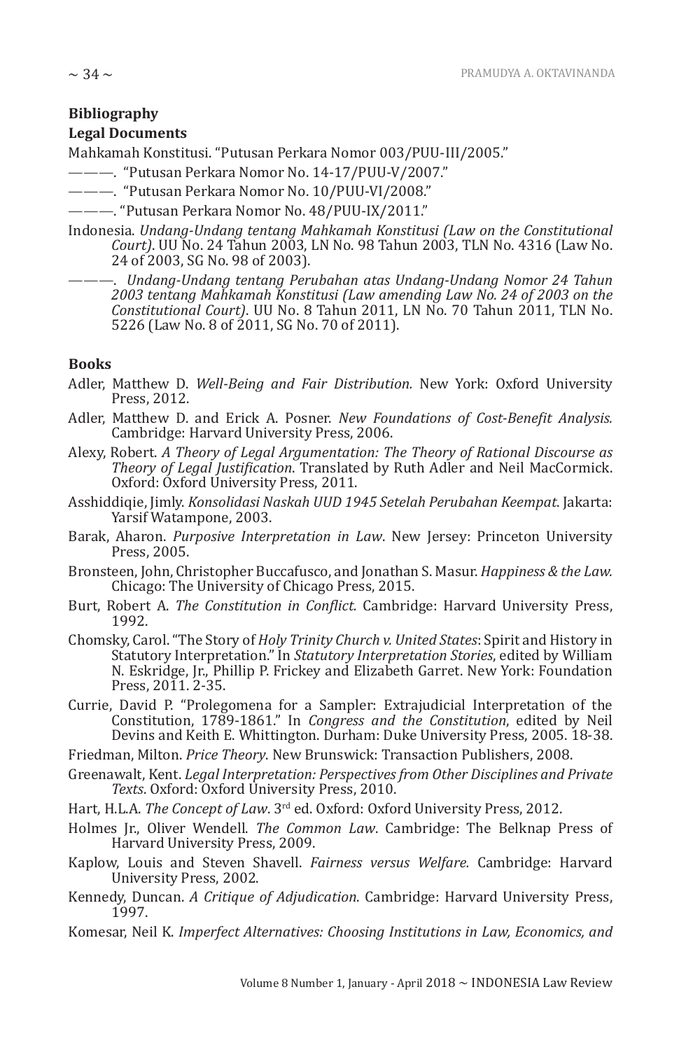# **Bibliography**

## **Legal Documents**

Mahkamah Konstitusi. "Putusan Perkara Nomor 003/PUU-III/2005."

———. "Putusan Perkara Nomor No. 14-17/PUU-V/2007."

- ———. "Putusan Perkara Nomor No. 10/PUU-VI/2008."
- ———. "Putusan Perkara Nomor No. 48/PUU-IX/2011."
- Indonesia. *Undang-Undang tentang Mahkamah Konstitusi (Law on the Constitutional Court)*. UU No. 24 Tahun 2003, LN No. 98 Tahun 2003, TLN No. 4316 (Law No. 24 of 2003, SG No. 98 of 2003).

———. *Undang-Undang tentang Perubahan atas Undang-Undang Nomor 24 Tahun 2003 tentang Mahkamah Konstitusi (Law amending Law No. 24 of 2003 on the Constitutional Court)*. UU No. 8 Tahun 2011, LN No. 70 Tahun 2011, TLN No. 5226 (Law No. 8 of 2011, SG No. 70 of 2011).

## **Books**

- Adler, Matthew D. *Well-Being and Fair Distribution.* New York: Oxford University Press, 2012.
- Adler, Matthew D. and Erick A. Posner. *New Foundations of Cost-Benefit Analysis.*  Cambridge: Harvard University Press, 2006.
- Alexy, Robert. *A Theory of Legal Argumentation: The Theory of Rational Discourse as Theory of Legal Justification*. Translated by Ruth Adler and Neil MacCormick. Oxford: Oxford University Press, 2011.
- Asshiddiqie, Jimly. *Konsolidasi Naskah UUD 1945 Setelah Perubahan Keempat*. Jakarta: Yarsif Watampone, 2003.
- Barak, Aharon. *Purposive Interpretation in Law*. New Jersey: Princeton University Press, 2005.
- Bronsteen, John, Christopher Buccafusco, and Jonathan S. Masur. *Happiness & the Law.*  Chicago: The University of Chicago Press, 2015.
- Burt, Robert A. *The Constitution in Conflict.* Cambridge: Harvard University Press, 1992.
- Chomsky, Carol. "The Story of *Holy Trinity Church v. United States*: Spirit and History in Statutory Interpretation." In *Statutory Interpretation Stories*, edited by William N. Eskridge, Jr., Phillip P. Frickey and Elizabeth Garret. New York: Foundation Press, 2011. 2-35.
- Currie, David P. "Prolegomena for a Sampler: Extrajudicial Interpretation of the Constitution, 1789-1861." In *Congress and the Constitution*, edited by Neil Devins and Keith E. Whittington. Durham: Duke University Press, 2005. 18-38.

Friedman, Milton. *Price Theory*. New Brunswick: Transaction Publishers, 2008.

- Greenawalt, Kent. *Legal Interpretation: Perspectives from Other Disciplines and Private Texts*. Oxford: Oxford University Press, 2010.
- Hart, H.L.A. *The Concept of Law*. 3rd ed. Oxford: Oxford University Press, 2012.
- Holmes Jr., Oliver Wendell. *The Common Law*. Cambridge: The Belknap Press of Harvard University Press, 2009.
- Kaplow, Louis and Steven Shavell. *Fairness versus Welfare.* Cambridge: Harvard University Press, 2002.
- Kennedy, Duncan. *A Critique of Adjudication*. Cambridge: Harvard University Press, 1997.
- Komesar, Neil K. *Imperfect Alternatives: Choosing Institutions in Law, Economics, and*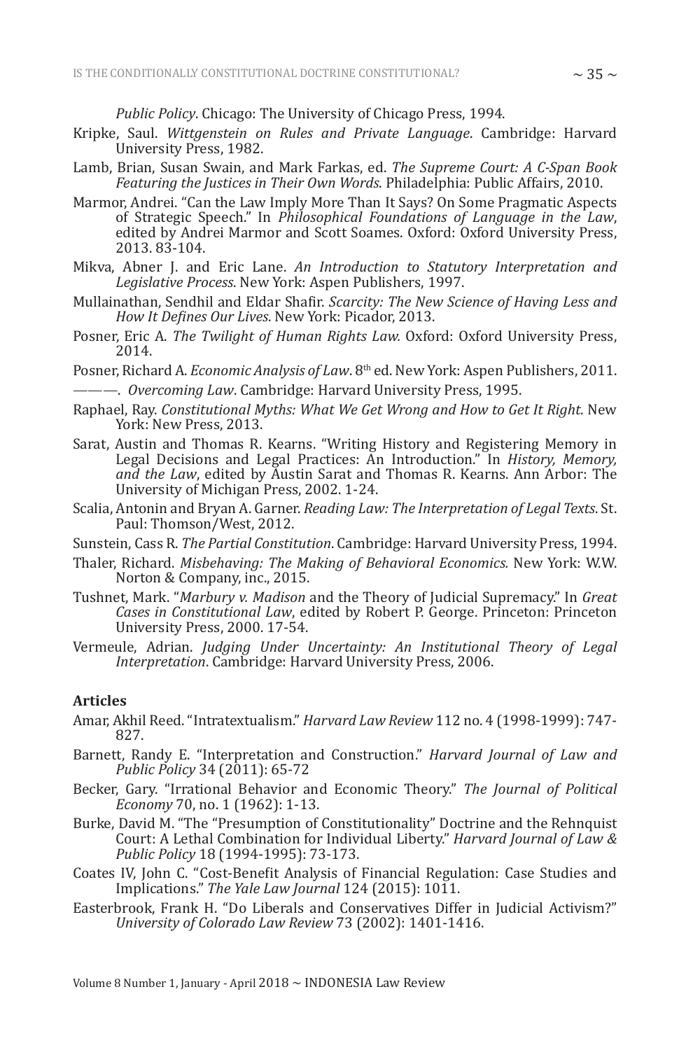*Public Policy*. Chicago: The University of Chicago Press, 1994.

- Kripke, Saul. *Wittgenstein on Rules and Private Language*. Cambridge: Harvard University Press, 1982.
- Lamb, Brian, Susan Swain, and Mark Farkas, ed. *The Supreme Court: A C-Span Book Featuring the Justices in Their Own Words*. Philadelphia: Public Affairs, 2010.
- Marmor, Andrei. "Can the Law Imply More Than It Says? On Some Pragmatic Aspects of Strategic Speech." In *Philosophical Foundations of Language in the Law*, edited by Andrei Marmor and Scott Soames. Oxford: Oxford University Press, 2013. 83-104.
- Mikva, Abner J. and Eric Lane. *An Introduction to Statutory Interpretation and Legislative Process*. New York: Aspen Publishers, 1997.
- Mullainathan, Sendhil and Eldar Shafir. *Scarcity: The New Science of Having Less and How It Defines Our Lives*. New York: Picador, 2013.
- Posner, Eric A. *The Twilight of Human Rights Law.* Oxford: Oxford University Press, 2014.
- Posner, Richard A. *Economic Analysis of Law*. 8th ed. New York: Aspen Publishers, 2011. ———. *Overcoming Law*. Cambridge: Harvard University Press, 1995.
- Raphael, Ray. *Constitutional Myths: What We Get Wrong and How to Get It Right.* New York: New Press, 2013.
- Sarat, Austin and Thomas R. Kearns. "Writing History and Registering Memory in Legal Decisions and Legal Practices: An Introduction." In *History, Memory, and the Law*, edited by Austin Sarat and Thomas R. Kearns. Ann Arbor: The University of Michigan Press, 2002. 1-24.
- Scalia, Antonin and Bryan A. Garner. *Reading Law: The Interpretation of Legal Texts*. St. Paul: Thomson/West, 2012.
- Sunstein, Cass R. *The Partial Constitution*. Cambridge: Harvard University Press, 1994.
- Thaler, Richard. *Misbehaving: The Making of Behavioral Economics.* New York: W.W. Norton & Company, inc., 2015.
- Tushnet, Mark. "*Marbury v. Madison* and the Theory of Judicial Supremacy." In *Great Cases in Constitutional Law*, edited by Robert P. George. Princeton: Princeton University Press, 2000. 17-54.
- Vermeule, Adrian. *Judging Under Uncertainty: An Institutional Theory of Legal Interpretation*. Cambridge: Harvard University Press, 2006.

### **Articles**

- Amar, Akhil Reed. "Intratextualism." *Harvard Law Review* 112 no. 4 (1998-1999): 747- 827.
- Barnett, Randy E. "Interpretation and Construction." *Harvard Journal of Law and Public Policy* 34 (2011): 65-72
- Becker, Gary. "Irrational Behavior and Economic Theory." *The Journal of Political Economy* 70, no. 1 (1962): 1-13.
- Burke, David M. "The "Presumption of Constitutionality" Doctrine and the Rehnquist Court: A Lethal Combination for Individual Liberty." *Harvard Journal of Law & Public Policy* 18 (1994-1995): 73-173.
- Coates IV, John C. "Cost-Benefit Analysis of Financial Regulation: Case Studies and Implications." *The Yale Law Journal* 124 (2015): 1011.
- Easterbrook, Frank H. "Do Liberals and Conservatives Differ in Judicial Activism?" *University of Colorado Law Review* 73 (2002): 1401-1416.